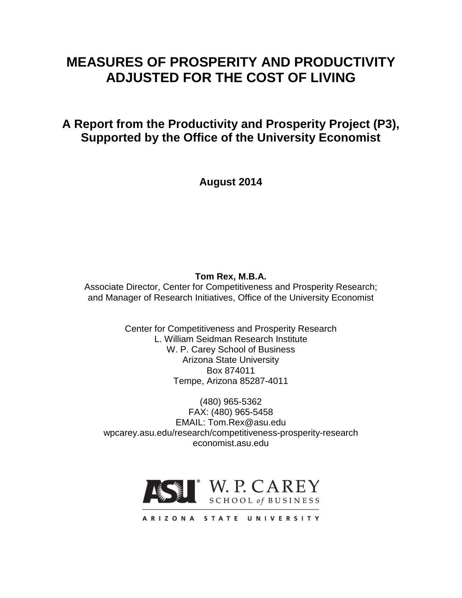# **MEASURES OF PROSPERITY AND PRODUCTIVITY ADJUSTED FOR THE COST OF LIVING**

**A Report from the Productivity and Prosperity Project (P3), Supported by the Office of the University Economist**

**August 2014**

**Tom Rex, M.B.A.**

Associate Director, Center for Competitiveness and Prosperity Research; and Manager of Research Initiatives, Office of the University Economist

> Center for Competitiveness and Prosperity Research L. William Seidman Research Institute W. P. Carey School of Business Arizona State University Box 874011 Tempe, Arizona 85287-4011

(480) 965-5362 FAX: (480) 965-5458 EMAIL: Tom.Rex@asu.edu wpcarey.asu.edu/research/competitiveness-prosperity-research economist.asu.edu



ARIZONA STATE UNIVERSITY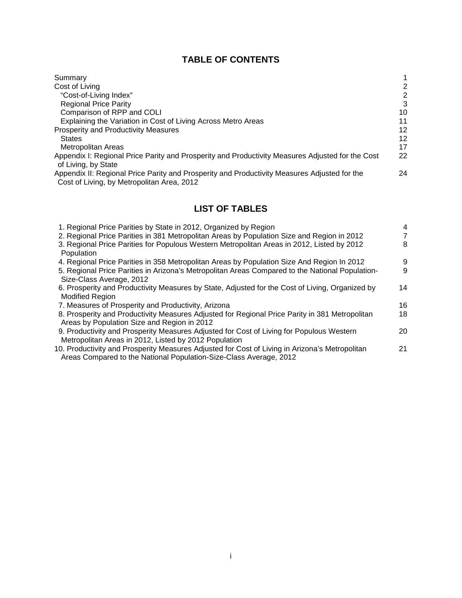# **TABLE OF CONTENTS**

| Summary                                                                                                                                    |                |
|--------------------------------------------------------------------------------------------------------------------------------------------|----------------|
| Cost of Living                                                                                                                             | 2              |
| "Cost-of-Living Index"                                                                                                                     | $\overline{2}$ |
| <b>Regional Price Parity</b>                                                                                                               | 3              |
| Comparison of RPP and COLI                                                                                                                 | 10             |
| Explaining the Variation in Cost of Living Across Metro Areas                                                                              | 11             |
| <b>Prosperity and Productivity Measures</b>                                                                                                | 12             |
| <b>States</b>                                                                                                                              | 12             |
| Metropolitan Areas                                                                                                                         | 17             |
| Appendix I: Regional Price Parity and Prosperity and Productivity Measures Adjusted for the Cost<br>of Living, by State                    | 22             |
| Appendix II: Regional Price Parity and Prosperity and Productivity Measures Adjusted for the<br>Cost of Living, by Metropolitan Area, 2012 | 24             |

# **LIST OF TABLES**

| 1. Regional Price Parities by State in 2012, Organized by Region                                                                                                     | 4  |
|----------------------------------------------------------------------------------------------------------------------------------------------------------------------|----|
| 2. Regional Price Parities in 381 Metropolitan Areas by Population Size and Region in 2012                                                                           |    |
| 3. Regional Price Parities for Populous Western Metropolitan Areas in 2012, Listed by 2012<br>Population                                                             | 8  |
| 4. Regional Price Parities in 358 Metropolitan Areas by Population Size And Region In 2012                                                                           | 9  |
| 5. Regional Price Parities in Arizona's Metropolitan Areas Compared to the National Population-                                                                      | 9  |
| Size-Class Average, 2012                                                                                                                                             |    |
| 6. Prosperity and Productivity Measures by State, Adjusted for the Cost of Living, Organized by                                                                      | 14 |
| <b>Modified Region</b>                                                                                                                                               |    |
| 7. Measures of Prosperity and Productivity, Arizona                                                                                                                  | 16 |
| 8. Prosperity and Productivity Measures Adjusted for Regional Price Parity in 381 Metropolitan                                                                       | 18 |
| Areas by Population Size and Region in 2012                                                                                                                          |    |
| 9. Productivity and Prosperity Measures Adjusted for Cost of Living for Populous Western                                                                             | 20 |
| Metropolitan Areas in 2012, Listed by 2012 Population                                                                                                                |    |
| 10. Productivity and Prosperity Measures Adjusted for Cost of Living in Arizona's Metropolitan<br>Areas Compared to the National Population-Size-Class Average, 2012 | 21 |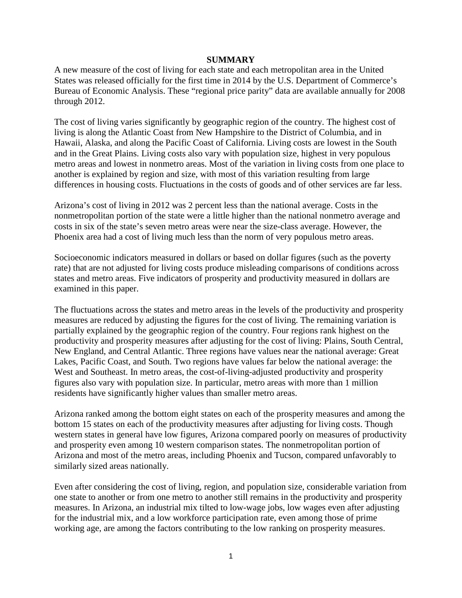#### **SUMMARY**

A new measure of the cost of living for each state and each metropolitan area in the United States was released officially for the first time in 2014 by the U.S. Department of Commerce's Bureau of Economic Analysis. These "regional price parity" data are available annually for 2008 through 2012.

The cost of living varies significantly by geographic region of the country. The highest cost of living is along the Atlantic Coast from New Hampshire to the District of Columbia, and in Hawaii, Alaska, and along the Pacific Coast of California. Living costs are lowest in the South and in the Great Plains. Living costs also vary with population size, highest in very populous metro areas and lowest in nonmetro areas. Most of the variation in living costs from one place to another is explained by region and size, with most of this variation resulting from large differences in housing costs. Fluctuations in the costs of goods and of other services are far less.

Arizona's cost of living in 2012 was 2 percent less than the national average. Costs in the nonmetropolitan portion of the state were a little higher than the national nonmetro average and costs in six of the state's seven metro areas were near the size-class average. However, the Phoenix area had a cost of living much less than the norm of very populous metro areas.

Socioeconomic indicators measured in dollars or based on dollar figures (such as the poverty rate) that are not adjusted for living costs produce misleading comparisons of conditions across states and metro areas. Five indicators of prosperity and productivity measured in dollars are examined in this paper.

The fluctuations across the states and metro areas in the levels of the productivity and prosperity measures are reduced by adjusting the figures for the cost of living. The remaining variation is partially explained by the geographic region of the country. Four regions rank highest on the productivity and prosperity measures after adjusting for the cost of living: Plains, South Central, New England, and Central Atlantic. Three regions have values near the national average: Great Lakes, Pacific Coast, and South. Two regions have values far below the national average: the West and Southeast. In metro areas, the cost-of-living-adjusted productivity and prosperity figures also vary with population size. In particular, metro areas with more than 1 million residents have significantly higher values than smaller metro areas.

Arizona ranked among the bottom eight states on each of the prosperity measures and among the bottom 15 states on each of the productivity measures after adjusting for living costs. Though western states in general have low figures, Arizona compared poorly on measures of productivity and prosperity even among 10 western comparison states. The nonmetropolitan portion of Arizona and most of the metro areas, including Phoenix and Tucson, compared unfavorably to similarly sized areas nationally.

Even after considering the cost of living, region, and population size, considerable variation from one state to another or from one metro to another still remains in the productivity and prosperity measures. In Arizona, an industrial mix tilted to low-wage jobs, low wages even after adjusting for the industrial mix, and a low workforce participation rate, even among those of prime working age, are among the factors contributing to the low ranking on prosperity measures.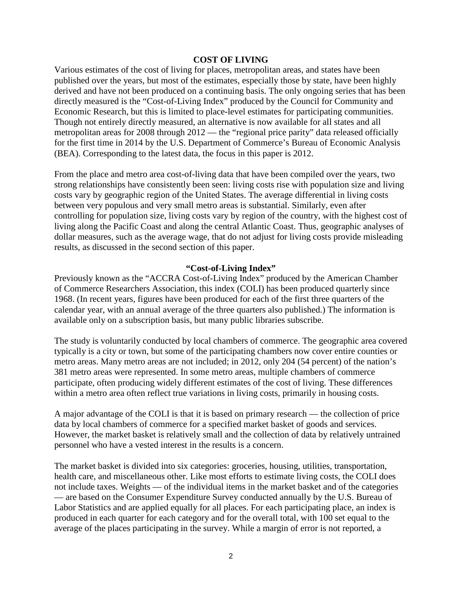#### **COST OF LIVING**

Various estimates of the cost of living for places, metropolitan areas, and states have been published over the years, but most of the estimates, especially those by state, have been highly derived and have not been produced on a continuing basis. The only ongoing series that has been directly measured is the "Cost-of-Living Index" produced by the Council for Community and Economic Research, but this is limited to place-level estimates for participating communities. Though not entirely directly measured, an alternative is now available for all states and all metropolitan areas for 2008 through 2012 — the "regional price parity" data released officially for the first time in 2014 by the U.S. Department of Commerce's Bureau of Economic Analysis (BEA). Corresponding to the latest data, the focus in this paper is 2012.

From the place and metro area cost-of-living data that have been compiled over the years, two strong relationships have consistently been seen: living costs rise with population size and living costs vary by geographic region of the United States. The average differential in living costs between very populous and very small metro areas is substantial. Similarly, even after controlling for population size, living costs vary by region of the country, with the highest cost of living along the Pacific Coast and along the central Atlantic Coast. Thus, geographic analyses of dollar measures, such as the average wage, that do not adjust for living costs provide misleading results, as discussed in the second section of this paper.

#### **"Cost-of-Living Index"**

Previously known as the "ACCRA Cost-of-Living Index" produced by the American Chamber of Commerce Researchers Association, this index (COLI) has been produced quarterly since 1968. (In recent years, figures have been produced for each of the first three quarters of the calendar year, with an annual average of the three quarters also published.) The information is available only on a subscription basis, but many public libraries subscribe.

The study is voluntarily conducted by local chambers of commerce. The geographic area covered typically is a city or town, but some of the participating chambers now cover entire counties or metro areas. Many metro areas are not included; in 2012, only 204 (54 percent) of the nation's 381 metro areas were represented. In some metro areas, multiple chambers of commerce participate, often producing widely different estimates of the cost of living. These differences within a metro area often reflect true variations in living costs, primarily in housing costs.

A major advantage of the COLI is that it is based on primary research — the collection of price data by local chambers of commerce for a specified market basket of goods and services. However, the market basket is relatively small and the collection of data by relatively untrained personnel who have a vested interest in the results is a concern.

The market basket is divided into six categories: groceries, housing, utilities, transportation, health care, and miscellaneous other. Like most efforts to estimate living costs, the COLI does not include taxes. Weights — of the individual items in the market basket and of the categories — are based on the Consumer Expenditure Survey conducted annually by the U.S. Bureau of Labor Statistics and are applied equally for all places. For each participating place, an index is produced in each quarter for each category and for the overall total, with 100 set equal to the average of the places participating in the survey. While a margin of error is not reported, a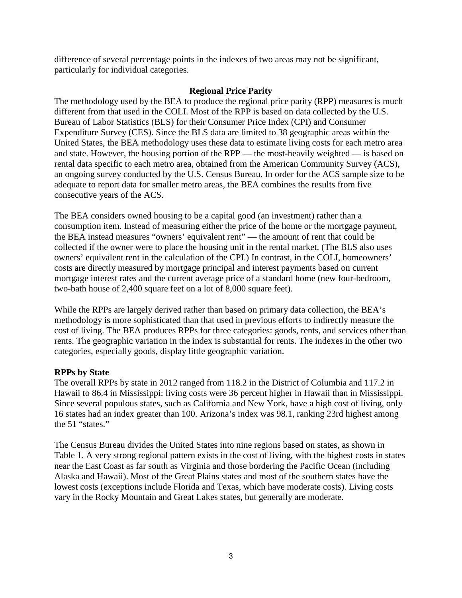difference of several percentage points in the indexes of two areas may not be significant, particularly for individual categories.

### **Regional Price Parity**

The methodology used by the BEA to produce the regional price parity (RPP) measures is much different from that used in the COLI. Most of the RPP is based on data collected by the U.S. Bureau of Labor Statistics (BLS) for their Consumer Price Index (CPI) and Consumer Expenditure Survey (CES). Since the BLS data are limited to 38 geographic areas within the United States, the BEA methodology uses these data to estimate living costs for each metro area and state. However, the housing portion of the RPP — the most-heavily weighted — is based on rental data specific to each metro area, obtained from the American Community Survey (ACS), an ongoing survey conducted by the U.S. Census Bureau. In order for the ACS sample size to be adequate to report data for smaller metro areas, the BEA combines the results from five consecutive years of the ACS.

The BEA considers owned housing to be a capital good (an investment) rather than a consumption item. Instead of measuring either the price of the home or the mortgage payment, the BEA instead measures "owners' equivalent rent" — the amount of rent that could be collected if the owner were to place the housing unit in the rental market. (The BLS also uses owners' equivalent rent in the calculation of the CPI.) In contrast, in the COLI, homeowners' costs are directly measured by mortgage principal and interest payments based on current mortgage interest rates and the current average price of a standard home (new four-bedroom, two-bath house of 2,400 square feet on a lot of 8,000 square feet).

While the RPPs are largely derived rather than based on primary data collection, the BEA's methodology is more sophisticated than that used in previous efforts to indirectly measure the cost of living. The BEA produces RPPs for three categories: goods, rents, and services other than rents. The geographic variation in the index is substantial for rents. The indexes in the other two categories, especially goods, display little geographic variation.

### **RPPs by State**

The overall RPPs by state in 2012 ranged from 118.2 in the District of Columbia and 117.2 in Hawaii to 86.4 in Mississippi: living costs were 36 percent higher in Hawaii than in Mississippi. Since several populous states, such as California and New York, have a high cost of living, only 16 states had an index greater than 100. Arizona's index was 98.1, ranking 23rd highest among the 51 "states."

The Census Bureau divides the United States into nine regions based on states, as shown in Table 1. A very strong regional pattern exists in the cost of living, with the highest costs in states near the East Coast as far south as Virginia and those bordering the Pacific Ocean (including Alaska and Hawaii). Most of the Great Plains states and most of the southern states have the lowest costs (exceptions include Florida and Texas, which have moderate costs). Living costs vary in the Rocky Mountain and Great Lakes states, but generally are moderate.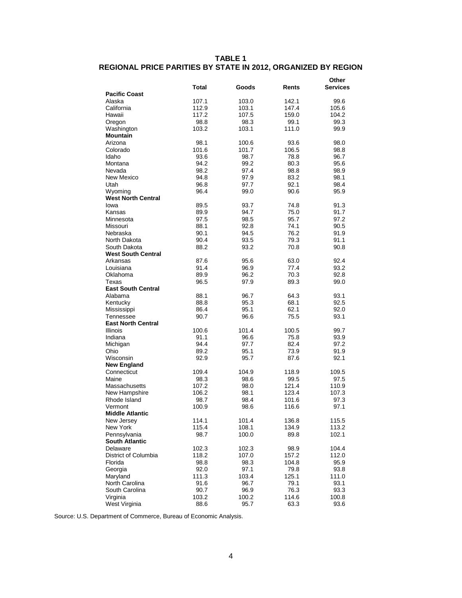#### **TABLE 1 REGIONAL PRICE PARITIES BY STATE IN 2012, ORGANIZED BY REGION**

|                           |              |              |              | Other        |
|---------------------------|--------------|--------------|--------------|--------------|
|                           | Total        | Goods        | Rents        | Services     |
| <b>Pacific Coast</b>      |              |              |              |              |
| Alaska                    | 107.1        | 103.0        | 142.1        | 99.6         |
| California                | 112.9        | 103.1        | 147.4        | 105.6        |
| Hawaii                    | 117.2        | 107.5        | 159.0        | 104.2        |
| Oregon                    | 98.8         | 98.3         | 99.1         | 99.3         |
| Washington                | 103.2        | 103.1        | 111.0        | 99.9         |
| <b>Mountain</b>           |              |              |              |              |
| Arizona                   | 98.1         | 100.6        | 93.6         | 98.0         |
| Colorado                  | 101.6        | 101.7        | 106.5        | 98.8         |
| Idaho                     | 93.6         | 98.7         | 78.8         | 96.7         |
| Montana                   | 94.2         | 99.2<br>97.4 | 80.3         | 95.6         |
| Nevada<br>New Mexico      | 98.2         |              | 98.8         | 98.9         |
| Utah                      | 94.8<br>96.8 | 97.9<br>97.7 | 83.2<br>92.1 | 98.1<br>98.4 |
| Wyoming                   | 96.4         | 99.0         | 90.6         | 95.9         |
| <b>West North Central</b> |              |              |              |              |
| lowa                      | 89.5         | 93.7         | 74.8         | 91.3         |
| Kansas                    | 89.9         | 94.7         | 75.0         | 91.7         |
| Minnesota                 | 97.5         | 98.5         | 95.7         | 97.2         |
| Missouri                  | 88.1         | 92.8         | 74.1         | 90.5         |
| Nebraska                  | 90.1         | 94.5         | 76.2         | 91.9         |
| North Dakota              | 90.4         | 93.5         | 79.3         | 91.1         |
| South Dakota              | 88.2         | 93.2         | 70.8         | 90.8         |
| <b>West South Central</b> |              |              |              |              |
| Arkansas                  | 87.6         | 95.6         | 63.0         | 92.4         |
| Louisiana                 | 91.4         | 96.9         | 77.4         | 93.2         |
| Oklahoma                  | 89.9         | 96.2         | 70.3         | 92.8         |
| Texas                     | 96.5         | 97.9         | 89.3         | 99.0         |
| <b>East South Central</b> |              |              |              |              |
| Alabama                   | 88.1         | 96.7         | 64.3         | 93.1         |
| Kentucky                  | 88.8         | 95.3         | 68.1         | 92.5         |
| Mississippi               | 86.4         | 95.1         | 62.1         | 92.0         |
| Tennessee                 | 90.7         | 96.6         | 75.5         | 93.1         |
| <b>East North Central</b> |              |              |              |              |
| <b>Illinois</b>           | 100.6        | 101.4        | 100.5        | 99.7         |
| Indiana                   | 91.1         | 96.6         | 75.8         | 93.9         |
| Michigan                  | 94.4         | 97.7         | 82.4         | 97.2         |
| Ohio                      | 89.2         | 95.1         | 73.9         | 91.9         |
| Wisconsin                 | 92.9         | 95.7         | 87.6         | 92.1         |
| <b>New England</b>        |              |              |              |              |
| Connecticut               | 109.4        | 104.9        | 118.9        | 109.5        |
| Maine                     | 98.3         | 98.6         | 99.5         | 97.5         |
| Massachusetts             | 107.2        | 98.0         | 121.4        | 110.9        |
| New Hampshire             | 106.2        | 98.1         | 123.4        | 107.3        |
| Rhode Island              | 98.7         | 98.4         | 101.6        | 97.3         |
| Vermont                   | 100.9        | 98.6         | 116.6        | 97.1         |
| <b>Middle Atlantic</b>    |              |              |              |              |
| New Jersey                | 114.1        | 101.4        | 136.8        | 115.5        |
| New York                  | 115.4        | 108.1        | 134.9        | 113.2        |
| Pennsylvania              | 98.7         | 100.0        | 89.8         | 102.1        |
| <b>South Atlantic</b>     |              |              |              |              |
| Delaware                  | 102.3        | 102.3        | 98.9         | 104.4        |
| District of Columbia      | 118.2        | 107.0        | 157.2        | 112.0        |
| Florida                   | 98.8         | 98.3         | 104.8        | 95.9         |
| Georgia                   | 92.0         | 97.1         | 79.8         | 93.8         |
| Maryland                  | 111.3        | 103.4        | 125.1        | 111.0        |
| North Carolina            | 91.6         | 96.7         | 79.1         | 93.1         |
| South Carolina            | 90.7         | 96.9         | 76.3         | 93.3         |
| Virginia                  | 103.2        | 100.2        | 114.6        | 100.8        |
| West Virginia             | 88.6         | 95.7         | 63.3         | 93.6         |

Source: U.S. Department of Commerce, Bureau of Economic Analysis.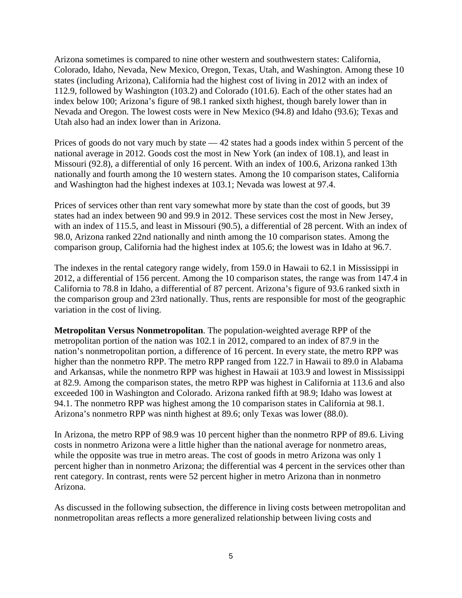Arizona sometimes is compared to nine other western and southwestern states: California, Colorado, Idaho, Nevada, New Mexico, Oregon, Texas, Utah, and Washington. Among these 10 states (including Arizona), California had the highest cost of living in 2012 with an index of 112.9, followed by Washington (103.2) and Colorado (101.6). Each of the other states had an index below 100; Arizona's figure of 98.1 ranked sixth highest, though barely lower than in Nevada and Oregon. The lowest costs were in New Mexico (94.8) and Idaho (93.6); Texas and Utah also had an index lower than in Arizona.

Prices of goods do not vary much by state — 42 states had a goods index within 5 percent of the national average in 2012. Goods cost the most in New York (an index of 108.1), and least in Missouri (92.8), a differential of only 16 percent. With an index of 100.6, Arizona ranked 13th nationally and fourth among the 10 western states. Among the 10 comparison states, California and Washington had the highest indexes at 103.1; Nevada was lowest at 97.4.

Prices of services other than rent vary somewhat more by state than the cost of goods, but 39 states had an index between 90 and 99.9 in 2012. These services cost the most in New Jersey, with an index of 115.5, and least in Missouri (90.5), a differential of 28 percent. With an index of 98.0, Arizona ranked 22nd nationally and ninth among the 10 comparison states. Among the comparison group, California had the highest index at 105.6; the lowest was in Idaho at 96.7.

The indexes in the rental category range widely, from 159.0 in Hawaii to 62.1 in Mississippi in 2012, a differential of 156 percent. Among the 10 comparison states, the range was from 147.4 in California to 78.8 in Idaho, a differential of 87 percent. Arizona's figure of 93.6 ranked sixth in the comparison group and 23rd nationally. Thus, rents are responsible for most of the geographic variation in the cost of living.

**Metropolitan Versus Nonmetropolitan**. The population-weighted average RPP of the metropolitan portion of the nation was 102.1 in 2012, compared to an index of 87.9 in the nation's nonmetropolitan portion, a difference of 16 percent. In every state, the metro RPP was higher than the nonmetro RPP. The metro RPP ranged from 122.7 in Hawaii to 89.0 in Alabama and Arkansas, while the nonmetro RPP was highest in Hawaii at 103.9 and lowest in Mississippi at 82.9. Among the comparison states, the metro RPP was highest in California at 113.6 and also exceeded 100 in Washington and Colorado. Arizona ranked fifth at 98.9; Idaho was lowest at 94.1. The nonmetro RPP was highest among the 10 comparison states in California at 98.1. Arizona's nonmetro RPP was ninth highest at 89.6; only Texas was lower (88.0).

In Arizona, the metro RPP of 98.9 was 10 percent higher than the nonmetro RPP of 89.6. Living costs in nonmetro Arizona were a little higher than the national average for nonmetro areas, while the opposite was true in metro areas. The cost of goods in metro Arizona was only 1 percent higher than in nonmetro Arizona; the differential was 4 percent in the services other than rent category. In contrast, rents were 52 percent higher in metro Arizona than in nonmetro Arizona.

As discussed in the following subsection, the difference in living costs between metropolitan and nonmetropolitan areas reflects a more generalized relationship between living costs and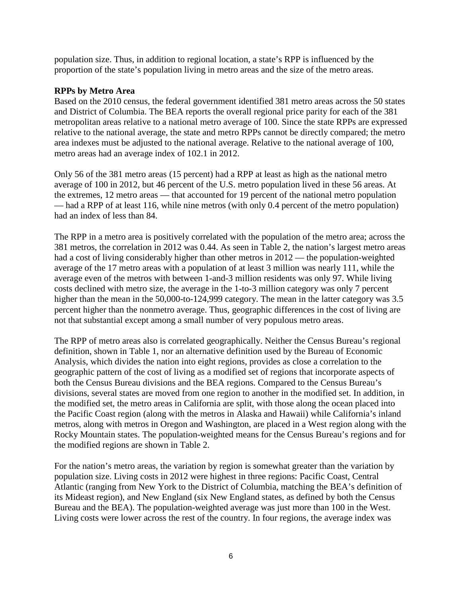population size. Thus, in addition to regional location, a state's RPP is influenced by the proportion of the state's population living in metro areas and the size of the metro areas.

### **RPPs by Metro Area**

Based on the 2010 census, the federal government identified 381 metro areas across the 50 states and District of Columbia. The BEA reports the overall regional price parity for each of the 381 metropolitan areas relative to a national metro average of 100. Since the state RPPs are expressed relative to the national average, the state and metro RPPs cannot be directly compared; the metro area indexes must be adjusted to the national average. Relative to the national average of 100, metro areas had an average index of 102.1 in 2012.

Only 56 of the 381 metro areas (15 percent) had a RPP at least as high as the national metro average of 100 in 2012, but 46 percent of the U.S. metro population lived in these 56 areas. At the extremes, 12 metro areas — that accounted for 19 percent of the national metro population — had a RPP of at least 116, while nine metros (with only 0.4 percent of the metro population) had an index of less than 84.

The RPP in a metro area is positively correlated with the population of the metro area; across the 381 metros, the correlation in 2012 was 0.44. As seen in Table 2, the nation's largest metro areas had a cost of living considerably higher than other metros in 2012 — the population-weighted average of the 17 metro areas with a population of at least 3 million was nearly 111, while the average even of the metros with between 1-and-3 million residents was only 97. While living costs declined with metro size, the average in the 1-to-3 million category was only 7 percent higher than the mean in the 50,000-to-124,999 category. The mean in the latter category was 3.5 percent higher than the nonmetro average. Thus, geographic differences in the cost of living are not that substantial except among a small number of very populous metro areas.

The RPP of metro areas also is correlated geographically. Neither the Census Bureau's regional definition, shown in Table 1, nor an alternative definition used by the Bureau of Economic Analysis, which divides the nation into eight regions, provides as close a correlation to the geographic pattern of the cost of living as a modified set of regions that incorporate aspects of both the Census Bureau divisions and the BEA regions. Compared to the Census Bureau's divisions, several states are moved from one region to another in the modified set. In addition, in the modified set, the metro areas in California are split, with those along the ocean placed into the Pacific Coast region (along with the metros in Alaska and Hawaii) while California's inland metros, along with metros in Oregon and Washington, are placed in a West region along with the Rocky Mountain states. The population-weighted means for the Census Bureau's regions and for the modified regions are shown in Table 2.

For the nation's metro areas, the variation by region is somewhat greater than the variation by population size. Living costs in 2012 were highest in three regions: Pacific Coast, Central Atlantic (ranging from New York to the District of Columbia, matching the BEA's definition of its Mideast region), and New England (six New England states, as defined by both the Census Bureau and the BEA). The population-weighted average was just more than 100 in the West. Living costs were lower across the rest of the country. In four regions, the average index was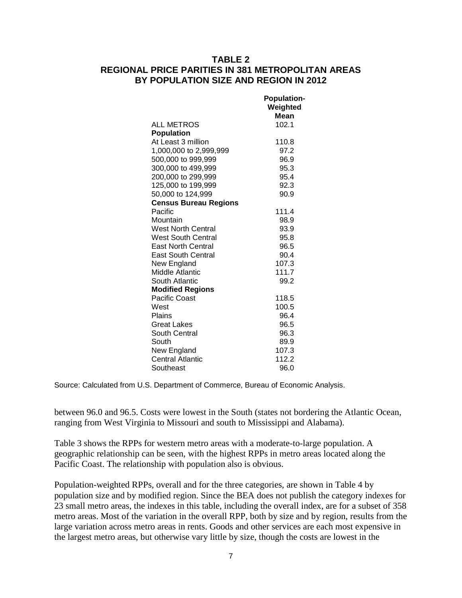### **TABLE 2 REGIONAL PRICE PARITIES IN 381 METROPOLITAN AREAS BY POPULATION SIZE AND REGION IN 2012**

|                              | <b>Population-</b><br>Weighted<br><b>Mean</b> |
|------------------------------|-----------------------------------------------|
| <b>ALL METROS</b>            | 102.1                                         |
| <b>Population</b>            |                                               |
| At Least 3 million           | 110.8                                         |
| 1,000,000 to 2,999,999       | 97.2                                          |
| 500,000 to 999,999           | 96.9                                          |
| 300,000 to 499,999           | 95.3                                          |
| 200,000 to 299,999           | 95.4                                          |
| 125,000 to 199,999           | 92.3                                          |
| 50,000 to 124,999            | 90.9                                          |
| <b>Census Bureau Regions</b> |                                               |
| Pacific                      | 111.4                                         |
| Mountain                     | 98.9                                          |
| <b>West North Central</b>    | 93.9                                          |
| <b>West South Central</b>    | 95.8                                          |
| <b>East North Central</b>    | 96.5                                          |
| <b>East South Central</b>    | 90.4                                          |
| New England                  | 107.3                                         |
| Middle Atlantic              | 111.7                                         |
| South Atlantic               | 99.2                                          |
| <b>Modified Regions</b>      |                                               |
| <b>Pacific Coast</b>         | 118.5                                         |
| West                         | 100.5                                         |
| Plains                       | 96.4                                          |
| <b>Great Lakes</b>           | 96.5                                          |
| South Central                | 96.3                                          |
| South                        | 89.9                                          |
| New England                  | 107.3                                         |
| <b>Central Atlantic</b>      | 112.2                                         |
| Southeast                    | 96.0                                          |

Source: Calculated from U.S. Department of Commerce, Bureau of Economic Analysis.

between 96.0 and 96.5. Costs were lowest in the South (states not bordering the Atlantic Ocean, ranging from West Virginia to Missouri and south to Mississippi and Alabama).

Table 3 shows the RPPs for western metro areas with a moderate-to-large population. A geographic relationship can be seen, with the highest RPPs in metro areas located along the Pacific Coast. The relationship with population also is obvious.

Population-weighted RPPs, overall and for the three categories, are shown in Table 4 by population size and by modified region. Since the BEA does not publish the category indexes for 23 small metro areas, the indexes in this table, including the overall index, are for a subset of 358 metro areas. Most of the variation in the overall RPP, both by size and by region, results from the large variation across metro areas in rents. Goods and other services are each most expensive in the largest metro areas, but otherwise vary little by size, though the costs are lowest in the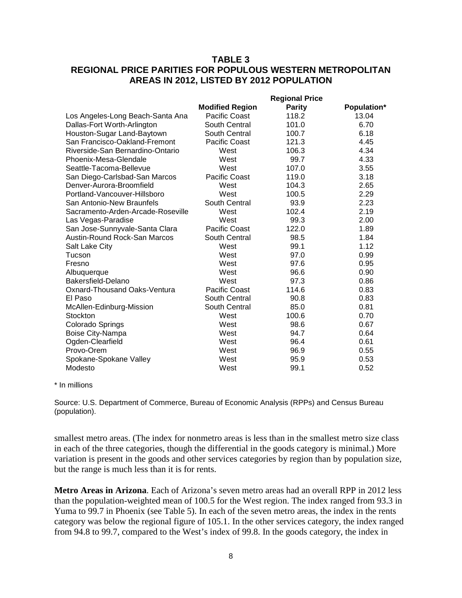### **TABLE 3 REGIONAL PRICE PARITIES FOR POPULOUS WESTERN METROPOLITAN AREAS IN 2012, LISTED BY 2012 POPULATION**

|                                     |                        | <b>Regional Price</b> |                    |
|-------------------------------------|------------------------|-----------------------|--------------------|
|                                     | <b>Modified Region</b> | <b>Parity</b>         | <b>Population*</b> |
| Los Angeles-Long Beach-Santa Ana    | <b>Pacific Coast</b>   | 118.2                 | 13.04              |
| Dallas-Fort Worth-Arlington         | South Central          | 101.0                 | 6.70               |
| Houston-Sugar Land-Baytown          | South Central          | 100.7                 | 6.18               |
| San Francisco-Oakland-Fremont       | <b>Pacific Coast</b>   | 121.3                 | 4.45               |
| Riverside-San Bernardino-Ontario    | West                   | 106.3                 | 4.34               |
| Phoenix-Mesa-Glendale               | West                   | 99.7                  | 4.33               |
| Seattle-Tacoma-Bellevue             | West                   | 107.0                 | 3.55               |
| San Diego-Carlsbad-San Marcos       | <b>Pacific Coast</b>   | 119.0                 | 3.18               |
| Denver-Aurora-Broomfield            | West                   | 104.3                 | 2.65               |
| Portland-Vancouver-Hillsboro        | West                   | 100.5                 | 2.29               |
| San Antonio-New Braunfels           | South Central          | 93.9                  | 2.23               |
| Sacramento-Arden-Arcade-Roseville   | West                   | 102.4                 | 2.19               |
| Las Vegas-Paradise                  | West                   | 99.3                  | 2.00               |
| San Jose-Sunnyvale-Santa Clara      | <b>Pacific Coast</b>   | 122.0                 | 1.89               |
| <b>Austin-Round Rock-San Marcos</b> | South Central          | 98.5                  | 1.84               |
| Salt Lake City                      | West                   | 99.1                  | 1.12               |
| Tucson                              | West                   | 97.0                  | 0.99               |
| Fresno                              | West                   | 97.6                  | 0.95               |
| Albuquerque                         | West                   | 96.6                  | 0.90               |
| Bakersfield-Delano                  | West                   | 97.3                  | 0.86               |
| Oxnard-Thousand Oaks-Ventura        | <b>Pacific Coast</b>   | 114.6                 | 0.83               |
| El Paso                             | South Central          | 90.8                  | 0.83               |
| McAllen-Edinburg-Mission            | South Central          | 85.0                  | 0.81               |
| Stockton                            | West                   | 100.6                 | 0.70               |
| Colorado Springs                    | West                   | 98.6                  | 0.67               |
| Boise City-Nampa                    | West                   | 94.7                  | 0.64               |
| Ogden-Clearfield                    | West                   | 96.4                  | 0.61               |
| Provo-Orem                          | West                   | 96.9                  | 0.55               |
| Spokane-Spokane Valley              | West                   | 95.9                  | 0.53               |
| Modesto                             | West                   | 99.1                  | 0.52               |

#### \* In millions

Source: U.S. Department of Commerce, Bureau of Economic Analysis (RPPs) and Census Bureau (population).

smallest metro areas. (The index for nonmetro areas is less than in the smallest metro size class in each of the three categories, though the differential in the goods category is minimal.) More variation is present in the goods and other services categories by region than by population size, but the range is much less than it is for rents.

**Metro Areas in Arizona**. Each of Arizona's seven metro areas had an overall RPP in 2012 less than the population-weighted mean of 100.5 for the West region. The index ranged from 93.3 in Yuma to 99.7 in Phoenix (see Table 5). In each of the seven metro areas, the index in the rents category was below the regional figure of 105.1. In the other services category, the index ranged from 94.8 to 99.7, compared to the West's index of 99.8. In the goods category, the index in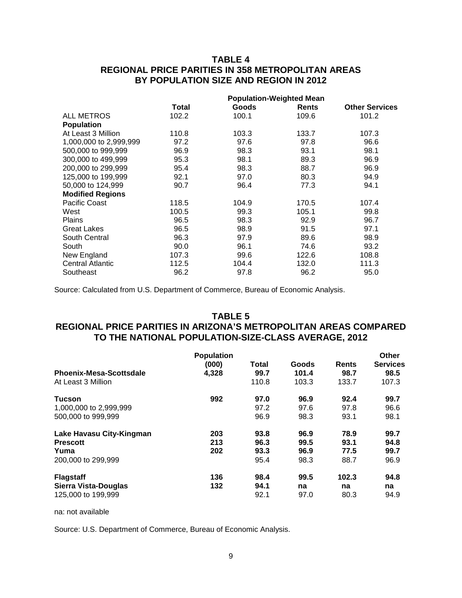### **TABLE 4 REGIONAL PRICE PARITIES IN 358 METROPOLITAN AREAS BY POPULATION SIZE AND REGION IN 2012**

|                         | <b>Population-Weighted Mean</b> |       |              |                       |  |
|-------------------------|---------------------------------|-------|--------------|-----------------------|--|
|                         | Total                           | Goods | <b>Rents</b> | <b>Other Services</b> |  |
| <b>ALL METROS</b>       | 102.2                           | 100.1 | 109.6        | 101.2                 |  |
| <b>Population</b>       |                                 |       |              |                       |  |
| At Least 3 Million      | 110.8                           | 103.3 | 133.7        | 107.3                 |  |
| 1,000,000 to 2,999,999  | 97.2                            | 97.6  | 97.8         | 96.6                  |  |
| 500,000 to 999,999      | 96.9                            | 98.3  | 93.1         | 98.1                  |  |
| 300,000 to 499,999      | 95.3                            | 98.1  | 89.3         | 96.9                  |  |
| 200,000 to 299,999      | 95.4                            | 98.3  | 88.7         | 96.9                  |  |
| 125,000 to 199,999      | 92.1                            | 97.0  | 80.3         | 94.9                  |  |
| 50,000 to 124,999       | 90.7                            | 96.4  | 77.3         | 94.1                  |  |
| <b>Modified Regions</b> |                                 |       |              |                       |  |
| <b>Pacific Coast</b>    | 118.5                           | 104.9 | 170.5        | 107.4                 |  |
| West                    | 100.5                           | 99.3  | 105.1        | 99.8                  |  |
| <b>Plains</b>           | 96.5                            | 98.3  | 92.9         | 96.7                  |  |
| <b>Great Lakes</b>      | 96.5                            | 98.9  | 91.5         | 97.1                  |  |
| South Central           | 96.3                            | 97.9  | 89.6         | 98.9                  |  |
| South                   | 90.0                            | 96.1  | 74.6         | 93.2                  |  |
| New England             | 107.3                           | 99.6  | 122.6        | 108.8                 |  |
| <b>Central Atlantic</b> | 112.5                           | 104.4 | 132.0        | 111.3                 |  |
| Southeast               | 96.2                            | 97.8  | 96.2         | 95.0                  |  |

Source: Calculated from U.S. Department of Commerce, Bureau of Economic Analysis.

#### **TABLE 5**

# **REGIONAL PRICE PARITIES IN ARIZONA'S METROPOLITAN AREAS COMPARED TO THE NATIONAL POPULATION-SIZE-CLASS AVERAGE, 2012**

| <b>Phoenix-Mesa-Scottsdale</b><br>At Least 3 Million                      | <b>Population</b><br>(000)<br>4.328 | Total<br>99.7<br>110.8       | Goods<br>101.4<br>103.3      | Rents<br>98.7<br>133.7       | Other<br><b>Services</b><br>98.5<br>107.3 |
|---------------------------------------------------------------------------|-------------------------------------|------------------------------|------------------------------|------------------------------|-------------------------------------------|
| Tucson<br>1,000,000 to 2,999,999<br>500,000 to 999,999                    | 992                                 | 97.0<br>97.2<br>96.9         | 96.9<br>97.6<br>98.3         | 92.4<br>97.8<br>93.1         | 99.7<br>96.6<br>98.1                      |
| Lake Havasu City-Kingman<br><b>Prescott</b><br>Yuma<br>200,000 to 299,999 | 203<br>213<br>202                   | 93.8<br>96.3<br>93.3<br>95.4 | 96.9<br>99.5<br>96.9<br>98.3 | 78.9<br>93.1<br>77.5<br>88.7 | 99.7<br>94.8<br>99.7<br>96.9              |
| <b>Flagstaff</b><br>Sierra Vista-Douglas<br>125,000 to 199,999            | 136<br>132                          | 98.4<br>94.1<br>92.1         | 99.5<br>na<br>97.0           | 102.3<br>na<br>80.3          | 94.8<br>na<br>94.9                        |

na: not available

Source: U.S. Department of Commerce, Bureau of Economic Analysis.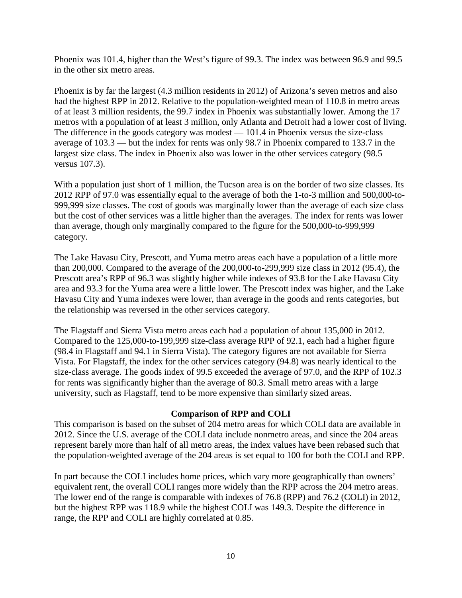Phoenix was 101.4, higher than the West's figure of 99.3. The index was between 96.9 and 99.5 in the other six metro areas.

Phoenix is by far the largest (4.3 million residents in 2012) of Arizona's seven metros and also had the highest RPP in 2012. Relative to the population-weighted mean of 110.8 in metro areas of at least 3 million residents, the 99.7 index in Phoenix was substantially lower. Among the 17 metros with a population of at least 3 million, only Atlanta and Detroit had a lower cost of living. The difference in the goods category was modest — 101.4 in Phoenix versus the size-class average of 103.3 — but the index for rents was only 98.7 in Phoenix compared to 133.7 in the largest size class. The index in Phoenix also was lower in the other services category (98.5 versus 107.3).

With a population just short of 1 million, the Tucson area is on the border of two size classes. Its 2012 RPP of 97.0 was essentially equal to the average of both the 1-to-3 million and 500,000-to-999,999 size classes. The cost of goods was marginally lower than the average of each size class but the cost of other services was a little higher than the averages. The index for rents was lower than average, though only marginally compared to the figure for the 500,000-to-999,999 category.

The Lake Havasu City, Prescott, and Yuma metro areas each have a population of a little more than 200,000. Compared to the average of the 200,000-to-299,999 size class in 2012 (95.4), the Prescott area's RPP of 96.3 was slightly higher while indexes of 93.8 for the Lake Havasu City area and 93.3 for the Yuma area were a little lower. The Prescott index was higher, and the Lake Havasu City and Yuma indexes were lower, than average in the goods and rents categories, but the relationship was reversed in the other services category.

The Flagstaff and Sierra Vista metro areas each had a population of about 135,000 in 2012. Compared to the 125,000-to-199,999 size-class average RPP of 92.1, each had a higher figure (98.4 in Flagstaff and 94.1 in Sierra Vista). The category figures are not available for Sierra Vista. For Flagstaff, the index for the other services category (94.8) was nearly identical to the size-class average. The goods index of 99.5 exceeded the average of 97.0, and the RPP of 102.3 for rents was significantly higher than the average of 80.3. Small metro areas with a large university, such as Flagstaff, tend to be more expensive than similarly sized areas.

### **Comparison of RPP and COLI**

This comparison is based on the subset of 204 metro areas for which COLI data are available in 2012. Since the U.S. average of the COLI data include nonmetro areas, and since the 204 areas represent barely more than half of all metro areas, the index values have been rebased such that the population-weighted average of the 204 areas is set equal to 100 for both the COLI and RPP.

In part because the COLI includes home prices, which vary more geographically than owners' equivalent rent, the overall COLI ranges more widely than the RPP across the 204 metro areas. The lower end of the range is comparable with indexes of 76.8 (RPP) and 76.2 (COLI) in 2012, but the highest RPP was 118.9 while the highest COLI was 149.3. Despite the difference in range, the RPP and COLI are highly correlated at 0.85.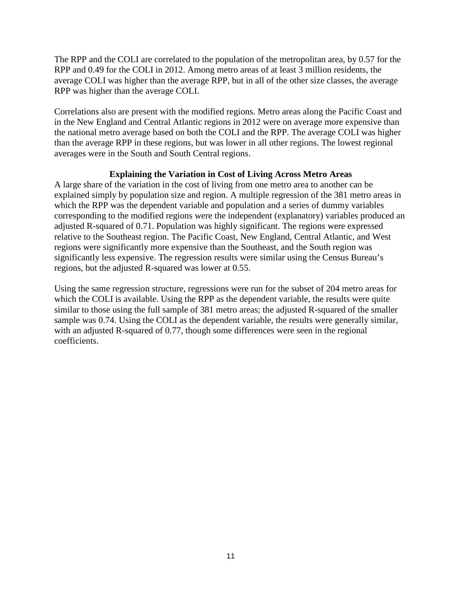The RPP and the COLI are correlated to the population of the metropolitan area, by 0.57 for the RPP and 0.49 for the COLI in 2012. Among metro areas of at least 3 million residents, the average COLI was higher than the average RPP, but in all of the other size classes, the average RPP was higher than the average COLI.

Correlations also are present with the modified regions. Metro areas along the Pacific Coast and in the New England and Central Atlantic regions in 2012 were on average more expensive than the national metro average based on both the COLI and the RPP. The average COLI was higher than the average RPP in these regions, but was lower in all other regions. The lowest regional averages were in the South and South Central regions.

### **Explaining the Variation in Cost of Living Across Metro Areas**

A large share of the variation in the cost of living from one metro area to another can be explained simply by population size and region. A multiple regression of the 381 metro areas in which the RPP was the dependent variable and population and a series of dummy variables corresponding to the modified regions were the independent (explanatory) variables produced an adjusted R-squared of 0.71. Population was highly significant. The regions were expressed relative to the Southeast region. The Pacific Coast, New England, Central Atlantic, and West regions were significantly more expensive than the Southeast, and the South region was significantly less expensive. The regression results were similar using the Census Bureau's regions, but the adjusted R-squared was lower at 0.55.

Using the same regression structure, regressions were run for the subset of 204 metro areas for which the COLI is available. Using the RPP as the dependent variable, the results were quite similar to those using the full sample of 381 metro areas; the adjusted R-squared of the smaller sample was 0.74. Using the COLI as the dependent variable, the results were generally similar, with an adjusted R-squared of 0.77, though some differences were seen in the regional coefficients.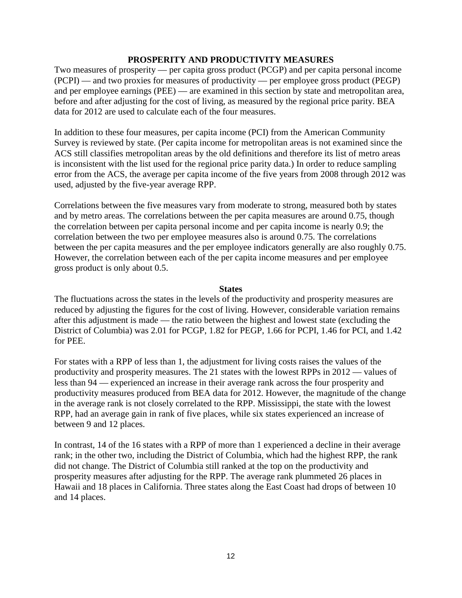### **PROSPERITY AND PRODUCTIVITY MEASURES**

Two measures of prosperity — per capita gross product (PCGP) and per capita personal income (PCPI) — and two proxies for measures of productivity — per employee gross product (PEGP) and per employee earnings (PEE) — are examined in this section by state and metropolitan area, before and after adjusting for the cost of living, as measured by the regional price parity. BEA data for 2012 are used to calculate each of the four measures.

In addition to these four measures, per capita income (PCI) from the American Community Survey is reviewed by state. (Per capita income for metropolitan areas is not examined since the ACS still classifies metropolitan areas by the old definitions and therefore its list of metro areas is inconsistent with the list used for the regional price parity data.) In order to reduce sampling error from the ACS, the average per capita income of the five years from 2008 through 2012 was used, adjusted by the five-year average RPP.

Correlations between the five measures vary from moderate to strong, measured both by states and by metro areas. The correlations between the per capita measures are around 0.75, though the correlation between per capita personal income and per capita income is nearly 0.9; the correlation between the two per employee measures also is around 0.75. The correlations between the per capita measures and the per employee indicators generally are also roughly 0.75. However, the correlation between each of the per capita income measures and per employee gross product is only about 0.5.

#### **States**

The fluctuations across the states in the levels of the productivity and prosperity measures are reduced by adjusting the figures for the cost of living. However, considerable variation remains after this adjustment is made — the ratio between the highest and lowest state (excluding the District of Columbia) was 2.01 for PCGP, 1.82 for PEGP, 1.66 for PCPI, 1.46 for PCI, and 1.42 for PEE.

For states with a RPP of less than 1, the adjustment for living costs raises the values of the productivity and prosperity measures. The 21 states with the lowest RPPs in 2012 — values of less than 94 — experienced an increase in their average rank across the four prosperity and productivity measures produced from BEA data for 2012. However, the magnitude of the change in the average rank is not closely correlated to the RPP. Mississippi, the state with the lowest RPP, had an average gain in rank of five places, while six states experienced an increase of between 9 and 12 places.

In contrast, 14 of the 16 states with a RPP of more than 1 experienced a decline in their average rank; in the other two, including the District of Columbia, which had the highest RPP, the rank did not change. The District of Columbia still ranked at the top on the productivity and prosperity measures after adjusting for the RPP. The average rank plummeted 26 places in Hawaii and 18 places in California. Three states along the East Coast had drops of between 10 and 14 places.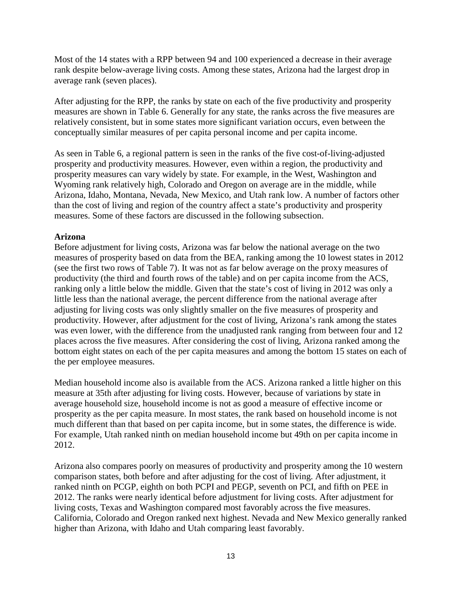Most of the 14 states with a RPP between 94 and 100 experienced a decrease in their average rank despite below-average living costs. Among these states, Arizona had the largest drop in average rank (seven places).

After adjusting for the RPP, the ranks by state on each of the five productivity and prosperity measures are shown in Table 6. Generally for any state, the ranks across the five measures are relatively consistent, but in some states more significant variation occurs, even between the conceptually similar measures of per capita personal income and per capita income.

As seen in Table 6, a regional pattern is seen in the ranks of the five cost-of-living-adjusted prosperity and productivity measures. However, even within a region, the productivity and prosperity measures can vary widely by state. For example, in the West, Washington and Wyoming rank relatively high, Colorado and Oregon on average are in the middle, while Arizona, Idaho, Montana, Nevada, New Mexico, and Utah rank low. A number of factors other than the cost of living and region of the country affect a state's productivity and prosperity measures. Some of these factors are discussed in the following subsection.

### **Arizona**

Before adjustment for living costs, Arizona was far below the national average on the two measures of prosperity based on data from the BEA, ranking among the 10 lowest states in 2012 (see the first two rows of Table 7). It was not as far below average on the proxy measures of productivity (the third and fourth rows of the table) and on per capita income from the ACS, ranking only a little below the middle. Given that the state's cost of living in 2012 was only a little less than the national average, the percent difference from the national average after adjusting for living costs was only slightly smaller on the five measures of prosperity and productivity. However, after adjustment for the cost of living, Arizona's rank among the states was even lower, with the difference from the unadjusted rank ranging from between four and 12 places across the five measures. After considering the cost of living, Arizona ranked among the bottom eight states on each of the per capita measures and among the bottom 15 states on each of the per employee measures.

Median household income also is available from the ACS. Arizona ranked a little higher on this measure at 35th after adjusting for living costs. However, because of variations by state in average household size, household income is not as good a measure of effective income or prosperity as the per capita measure. In most states, the rank based on household income is not much different than that based on per capita income, but in some states, the difference is wide. For example, Utah ranked ninth on median household income but 49th on per capita income in 2012.

Arizona also compares poorly on measures of productivity and prosperity among the 10 western comparison states, both before and after adjusting for the cost of living. After adjustment, it ranked ninth on PCGP, eighth on both PCPI and PEGP, seventh on PCI, and fifth on PEE in 2012. The ranks were nearly identical before adjustment for living costs. After adjustment for living costs, Texas and Washington compared most favorably across the five measures. California, Colorado and Oregon ranked next highest. Nevada and New Mexico generally ranked higher than Arizona, with Idaho and Utah comparing least favorably.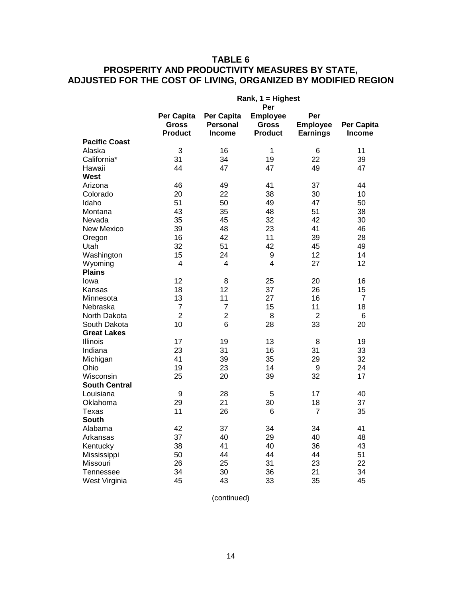# **TABLE 6 PROSPERITY AND PRODUCTIVITY MEASURES BY STATE, ADJUSTED FOR THE COST OF LIVING, ORGANIZED BY MODIFIED REGION**

|                      | Rank, 1 = Highest                            |                                         |                                                          |                                           |                             |  |
|----------------------|----------------------------------------------|-----------------------------------------|----------------------------------------------------------|-------------------------------------------|-----------------------------|--|
|                      | Per Capita<br><b>Gross</b><br><b>Product</b> | Per Capita<br>Personal<br><b>Income</b> | Per<br><b>Employee</b><br><b>Gross</b><br><b>Product</b> | Per<br><b>Employee</b><br><b>Earnings</b> | Per Capita<br><b>Income</b> |  |
| <b>Pacific Coast</b> |                                              |                                         |                                                          |                                           |                             |  |
| Alaska               | 3                                            | 16                                      | $\mathbf 1$                                              | 6                                         | 11                          |  |
| California*          | 31                                           | 34                                      | 19                                                       | 22                                        | 39                          |  |
| Hawaii               | 44                                           | 47                                      | 47                                                       | 49                                        | 47                          |  |
| <b>West</b>          |                                              |                                         |                                                          |                                           |                             |  |
| Arizona              | 46                                           | 49                                      | 41                                                       | 37                                        | 44                          |  |
| Colorado             | 20                                           | 22                                      | 38                                                       | 30                                        | 10                          |  |
| Idaho                | 51                                           | 50                                      | 49                                                       | 47                                        | 50                          |  |
| Montana              | 43                                           | 35                                      | 48                                                       | 51                                        | 38                          |  |
| Nevada               | 35                                           | 45                                      | 32                                                       | 42                                        | 30                          |  |
| <b>New Mexico</b>    | 39                                           | 48                                      | 23                                                       | 41                                        | 46                          |  |
| Oregon               | 16                                           | 42                                      | 11                                                       | 39                                        | 28                          |  |
| Utah                 | 32                                           | 51                                      | 42                                                       | 45                                        | 49                          |  |
| Washington           | 15                                           | 24                                      | 9                                                        | 12                                        | 14                          |  |
| Wyoming              | 4                                            | 4                                       | 4                                                        | 27                                        | 12                          |  |
| <b>Plains</b>        |                                              |                                         |                                                          |                                           |                             |  |
| lowa                 | 12                                           | 8                                       | 25                                                       | 20                                        | 16                          |  |
| Kansas               | 18                                           | 12                                      | 37                                                       | 26                                        | 15                          |  |
| Minnesota            | 13                                           | 11                                      | 27                                                       | 16                                        | 7                           |  |
| Nebraska             | $\overline{7}$                               | $\overline{7}$                          | 15                                                       | 11                                        | 18                          |  |
| North Dakota         | $\overline{2}$                               | $\overline{2}$                          | 8                                                        | 2                                         | 6                           |  |
| South Dakota         | 10                                           | 6                                       | 28                                                       | 33                                        | 20                          |  |
| <b>Great Lakes</b>   |                                              |                                         |                                                          |                                           |                             |  |
| Illinois             | 17                                           | 19                                      | 13                                                       | 8                                         | 19                          |  |
| Indiana              | 23                                           | 31                                      | 16                                                       | 31                                        | 33                          |  |
| Michigan             | 41                                           | 39                                      | 35                                                       | 29                                        | 32                          |  |
| Ohio                 | 19                                           | 23                                      | 14                                                       | 9                                         | 24                          |  |
| Wisconsin            | 25                                           | 20                                      | 39                                                       | 32                                        | 17                          |  |
| <b>South Central</b> |                                              |                                         |                                                          |                                           |                             |  |
| Louisiana            | 9                                            | 28                                      | 5                                                        | 17                                        | 40                          |  |
| Oklahoma             | 29                                           | 21                                      | 30                                                       | 18                                        | 37                          |  |
| Texas                | 11                                           | 26                                      | 6                                                        | 7                                         | 35                          |  |
| South                |                                              |                                         |                                                          |                                           |                             |  |
| Alabama              | 42                                           | 37                                      | 34                                                       | 34                                        | 41                          |  |
| Arkansas             | 37                                           | 40                                      | 29                                                       | 40                                        | 48                          |  |
| Kentucky             | 38                                           | 41                                      | 40                                                       | 36                                        | 43                          |  |
| Mississippi          | 50                                           | 44                                      | 44                                                       | 44                                        | 51                          |  |
| Missouri             | 26                                           | 25                                      | 31                                                       | 23                                        | 22                          |  |
| <b>Tennessee</b>     | 34                                           | 30                                      | 36                                                       | 21                                        | 34                          |  |
| West Virginia        | 45                                           | 43                                      | 33                                                       | 35                                        | 45                          |  |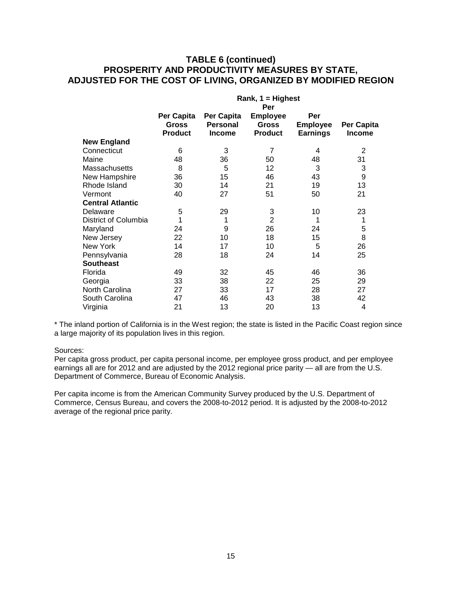### **TABLE 6 (continued) PROSPERITY AND PRODUCTIVITY MEASURES BY STATE, ADJUSTED FOR THE COST OF LIVING, ORGANIZED BY MODIFIED REGION**

|                         | Rank, $1 =$ Highest |                 |                 |                 |                |  |  |
|-------------------------|---------------------|-----------------|-----------------|-----------------|----------------|--|--|
|                         | Per                 |                 |                 |                 |                |  |  |
|                         | Per Capita          | Per Capita      | <b>Employee</b> | Per             |                |  |  |
|                         | <b>Gross</b>        | <b>Personal</b> | <b>Gross</b>    | <b>Employee</b> | Per Capita     |  |  |
|                         | <b>Product</b>      | <b>Income</b>   | <b>Product</b>  | <b>Earnings</b> | <b>Income</b>  |  |  |
| <b>New England</b>      |                     |                 |                 |                 |                |  |  |
| Connecticut             | 6                   | 3               | $\overline{7}$  | 4               | $\overline{2}$ |  |  |
| Maine                   | 48                  | 36              | 50              | 48              | 31             |  |  |
| <b>Massachusetts</b>    | 8                   | 5               | 12              | 3               | 3              |  |  |
| New Hampshire           | 36                  | 15              | 46              | 43              | 9              |  |  |
| Rhode Island            | 30                  | 14              | 21              | 19              | 13             |  |  |
| Vermont                 | 40                  | 27              | 51              | 50              | 21             |  |  |
| <b>Central Atlantic</b> |                     |                 |                 |                 |                |  |  |
| Delaware                | 5                   | 29              | 3               | 10              | 23             |  |  |
| District of Columbia    | 1                   | 1               | $\overline{2}$  | 1               | 1              |  |  |
| Maryland                | 24                  | 9               | 26              | 24              | 5              |  |  |
| New Jersey              | 22                  | 10              | 18              | 15              | 8              |  |  |
| New York                | 14                  | 17              | 10              | 5               | 26             |  |  |
| Pennsylvania            | 28                  | 18              | 24              | 14              | 25             |  |  |
| <b>Southeast</b>        |                     |                 |                 |                 |                |  |  |
| Florida                 | 49                  | 32              | 45              | 46              | 36             |  |  |
| Georgia                 | 33                  | 38              | 22              | 25              | 29             |  |  |
| North Carolina          | 27                  | 33              | 17              | 28              | 27             |  |  |
| South Carolina          | 47                  | 46              | 43              | 38              | 42             |  |  |
| Virginia                | 21                  | 13              | 20              | 13              | 4              |  |  |

\* The inland portion of California is in the West region; the state is listed in the Pacific Coast region since a large majority of its population lives in this region.

#### Sources:

Per capita gross product, per capita personal income, per employee gross product, and per employee earnings all are for 2012 and are adjusted by the 2012 regional price parity — all are from the U.S. Department of Commerce, Bureau of Economic Analysis.

Per capita income is from the American Community Survey produced by the U.S. Department of Commerce, Census Bureau, and covers the 2008-to-2012 period. It is adjusted by the 2008-to-2012 average of the regional price parity.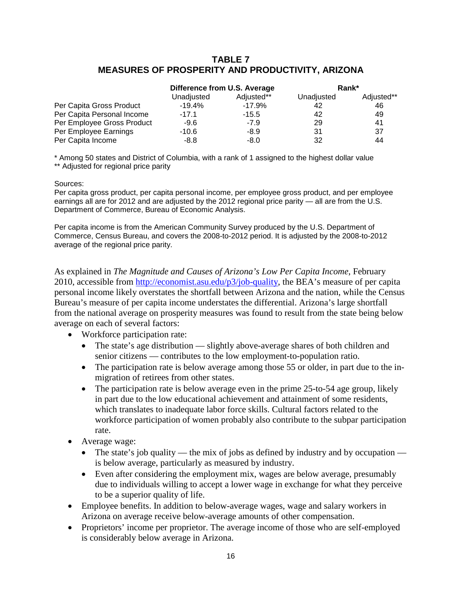### **TABLE 7 MEASURES OF PROSPERITY AND PRODUCTIVITY, ARIZONA**

|                            | Difference from U.S. Average |            | Rank*      |            |
|----------------------------|------------------------------|------------|------------|------------|
|                            | Unadjusted                   | Adjusted** | Unadjusted | Adjusted** |
| Per Capita Gross Product   | $-19.4%$                     | $-17.9%$   | 42         | 46         |
| Per Capita Personal Income | $-17.1$                      | $-15.5$    | 42         | 49         |
| Per Employee Gross Product | -9.6                         | $-7.9$     | 29         | 41         |
| Per Employee Earnings      | $-10.6$                      | -8.9       | 31         | 37         |
| Per Capita Income          | -8.8                         | $-8.0$     | 32         | 44         |

\* Among 50 states and District of Columbia, with a rank of 1 assigned to the highest dollar value \*\* Adjusted for regional price parity

#### Sources:

Per capita gross product, per capita personal income, per employee gross product, and per employee earnings all are for 2012 and are adjusted by the 2012 regional price parity — all are from the U.S. Department of Commerce, Bureau of Economic Analysis.

Per capita income is from the American Community Survey produced by the U.S. Department of Commerce, Census Bureau, and covers the 2008-to-2012 period. It is adjusted by the 2008-to-2012 average of the regional price parity.

As explained in *The Magnitude and Causes of Arizona's Low Per Capita Income*, February 2010, accessible from [http://economist.asu.edu/p3/job-quality,](http://economist.asu.edu/p3/job-quality) the BEA's measure of per capita personal income likely overstates the shortfall between Arizona and the nation, while the Census Bureau's measure of per capita income understates the differential. Arizona's large shortfall from the national average on prosperity measures was found to result from the state being below average on each of several factors:

- Workforce participation rate:
	- The state's age distribution slightly above-average shares of both children and senior citizens — contributes to the low employment-to-population ratio.
	- The participation rate is below average among those 55 or older, in part due to the inmigration of retirees from other states.
	- The participation rate is below average even in the prime 25-to-54 age group, likely in part due to the low educational achievement and attainment of some residents, which translates to inadequate labor force skills. Cultural factors related to the workforce participation of women probably also contribute to the subpar participation rate.
- Average wage:
	- The state's job quality the mix of jobs as defined by industry and by occupation is below average, particularly as measured by industry.
	- Even after considering the employment mix, wages are below average, presumably due to individuals willing to accept a lower wage in exchange for what they perceive to be a superior quality of life.
- Employee benefits. In addition to below-average wages, wage and salary workers in Arizona on average receive below-average amounts of other compensation.
- Proprietors' income per proprietor. The average income of those who are self-employed is considerably below average in Arizona.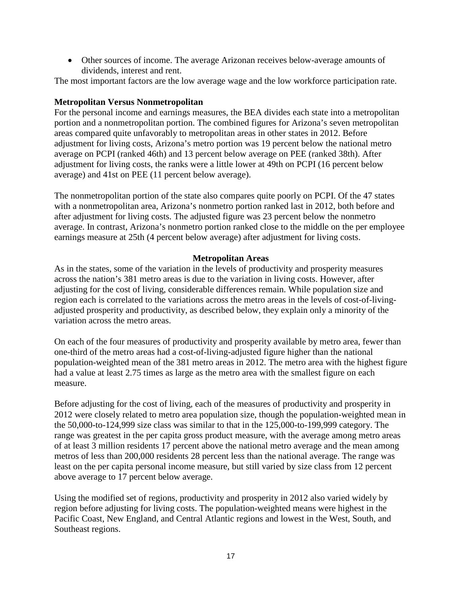• Other sources of income. The average Arizonan receives below-average amounts of dividends, interest and rent.

The most important factors are the low average wage and the low workforce participation rate.

### **Metropolitan Versus Nonmetropolitan**

For the personal income and earnings measures, the BEA divides each state into a metropolitan portion and a nonmetropolitan portion. The combined figures for Arizona's seven metropolitan areas compared quite unfavorably to metropolitan areas in other states in 2012. Before adjustment for living costs, Arizona's metro portion was 19 percent below the national metro average on PCPI (ranked 46th) and 13 percent below average on PEE (ranked 38th). After adjustment for living costs, the ranks were a little lower at 49th on PCPI (16 percent below average) and 41st on PEE (11 percent below average).

The nonmetropolitan portion of the state also compares quite poorly on PCPI. Of the 47 states with a nonmetropolitan area, Arizona's nonmetro portion ranked last in 2012, both before and after adjustment for living costs. The adjusted figure was 23 percent below the nonmetro average. In contrast, Arizona's nonmetro portion ranked close to the middle on the per employee earnings measure at 25th (4 percent below average) after adjustment for living costs.

### **Metropolitan Areas**

As in the states, some of the variation in the levels of productivity and prosperity measures across the nation's 381 metro areas is due to the variation in living costs. However, after adjusting for the cost of living, considerable differences remain. While population size and region each is correlated to the variations across the metro areas in the levels of cost-of-livingadjusted prosperity and productivity, as described below, they explain only a minority of the variation across the metro areas.

On each of the four measures of productivity and prosperity available by metro area, fewer than one-third of the metro areas had a cost-of-living-adjusted figure higher than the national population-weighted mean of the 381 metro areas in 2012. The metro area with the highest figure had a value at least 2.75 times as large as the metro area with the smallest figure on each measure.

Before adjusting for the cost of living, each of the measures of productivity and prosperity in 2012 were closely related to metro area population size, though the population-weighted mean in the 50,000-to-124,999 size class was similar to that in the 125,000-to-199,999 category. The range was greatest in the per capita gross product measure, with the average among metro areas of at least 3 million residents 17 percent above the national metro average and the mean among metros of less than 200,000 residents 28 percent less than the national average. The range was least on the per capita personal income measure, but still varied by size class from 12 percent above average to 17 percent below average.

Using the modified set of regions, productivity and prosperity in 2012 also varied widely by region before adjusting for living costs. The population-weighted means were highest in the Pacific Coast, New England, and Central Atlantic regions and lowest in the West, South, and Southeast regions.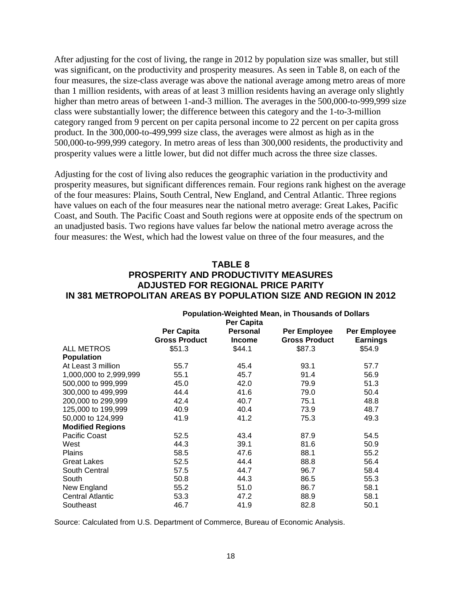After adjusting for the cost of living, the range in 2012 by population size was smaller, but still was significant, on the productivity and prosperity measures. As seen in Table 8, on each of the four measures, the size-class average was above the national average among metro areas of more than 1 million residents, with areas of at least 3 million residents having an average only slightly higher than metro areas of between 1-and-3 million. The averages in the 500,000-to-999,999 size class were substantially lower; the difference between this category and the 1-to-3-million category ranged from 9 percent on per capita personal income to 22 percent on per capita gross product. In the 300,000-to-499,999 size class, the averages were almost as high as in the 500,000-to-999,999 category. In metro areas of less than 300,000 residents, the productivity and prosperity values were a little lower, but did not differ much across the three size classes.

Adjusting for the cost of living also reduces the geographic variation in the productivity and prosperity measures, but significant differences remain. Four regions rank highest on the average of the four measures: Plains, South Central, New England, and Central Atlantic. Three regions have values on each of the four measures near the national metro average: Great Lakes, Pacific Coast, and South. The Pacific Coast and South regions were at opposite ends of the spectrum on an unadjusted basis. Two regions have values far below the national metro average across the four measures: the West, which had the lowest value on three of the four measures, and the

### **TABLE 8 PROSPERITY AND PRODUCTIVITY MEASURES ADJUSTED FOR REGIONAL PRICE PARITY IN 381 METROPOLITAN AREAS BY POPULATION SIZE AND REGION IN 2012**

|                         | <b>Population-Weighted Mean, in Thousands of Dollars</b><br>Per Capita |                                  |                                      |                                 |  |
|-------------------------|------------------------------------------------------------------------|----------------------------------|--------------------------------------|---------------------------------|--|
|                         | Per Capita<br><b>Gross Product</b>                                     | <b>Personal</b><br><b>Income</b> | Per Employee<br><b>Gross Product</b> | Per Employee<br><b>Earnings</b> |  |
| <b>ALL METROS</b>       | \$51.3                                                                 | \$44.1                           | \$87.3                               | \$54.9                          |  |
| <b>Population</b>       |                                                                        |                                  |                                      |                                 |  |
| At Least 3 million      | 55.7                                                                   | 45.4                             | 93.1                                 | 57.7                            |  |
| 1,000,000 to 2,999,999  | 55.1                                                                   | 45.7                             | 91.4                                 | 56.9                            |  |
| 500,000 to 999,999      | 45.0                                                                   | 42.0                             | 79.9                                 | 51.3                            |  |
| 300,000 to 499,999      | 44.4                                                                   | 41.6                             | 79.0                                 | 50.4                            |  |
| 200,000 to 299,999      | 42.4                                                                   | 40.7                             | 75.1                                 | 48.8                            |  |
| 125,000 to 199,999      | 40.9                                                                   | 40.4                             | 73.9                                 | 48.7                            |  |
| 50,000 to 124,999       | 41.9                                                                   | 41.2                             | 75.3                                 | 49.3                            |  |
| <b>Modified Regions</b> |                                                                        |                                  |                                      |                                 |  |
| Pacific Coast           | 52.5                                                                   | 43.4                             | 87.9                                 | 54.5                            |  |
| West                    | 44.3                                                                   | 39.1                             | 81.6                                 | 50.9                            |  |
| <b>Plains</b>           | 58.5                                                                   | 47.6                             | 88.1                                 | 55.2                            |  |
| <b>Great Lakes</b>      | 52.5                                                                   | 44.4                             | 88.8                                 | 56.4                            |  |
| South Central           | 57.5                                                                   | 44.7                             | 96.7                                 | 58.4                            |  |
| South                   | 50.8                                                                   | 44.3                             | 86.5                                 | 55.3                            |  |
| New England             | 55.2                                                                   | 51.0                             | 86.7                                 | 58.1                            |  |
| <b>Central Atlantic</b> | 53.3                                                                   | 47.2                             | 88.9                                 | 58.1                            |  |
| Southeast               | 46.7                                                                   | 41.9                             | 82.8                                 | 50.1                            |  |

Source: Calculated from U.S. Department of Commerce, Bureau of Economic Analysis.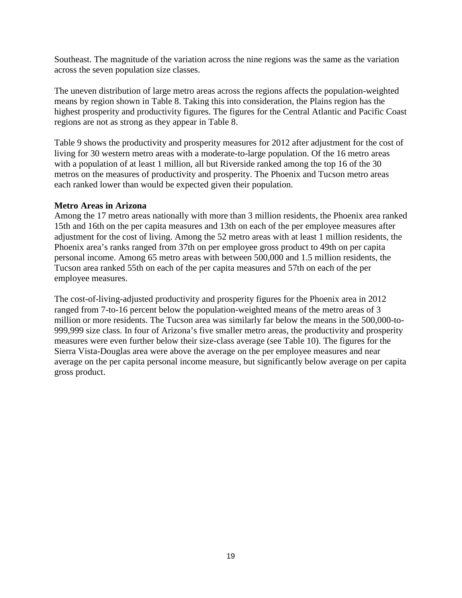Southeast. The magnitude of the variation across the nine regions was the same as the variation across the seven population size classes.

The uneven distribution of large metro areas across the regions affects the population-weighted means by region shown in Table 8. Taking this into consideration, the Plains region has the highest prosperity and productivity figures. The figures for the Central Atlantic and Pacific Coast regions are not as strong as they appear in Table 8.

Table 9 shows the productivity and prosperity measures for 2012 after adjustment for the cost of living for 30 western metro areas with a moderate-to-large population. Of the 16 metro areas with a population of at least 1 million, all but Riverside ranked among the top 16 of the 30 metros on the measures of productivity and prosperity. The Phoenix and Tucson metro areas each ranked lower than would be expected given their population.

### **Metro Areas in Arizona**

Among the 17 metro areas nationally with more than 3 million residents, the Phoenix area ranked 15th and 16th on the per capita measures and 13th on each of the per employee measures after adjustment for the cost of living. Among the 52 metro areas with at least 1 million residents, the Phoenix area's ranks ranged from 37th on per employee gross product to 49th on per capita personal income. Among 65 metro areas with between 500,000 and 1.5 million residents, the Tucson area ranked 55th on each of the per capita measures and 57th on each of the per employee measures.

The cost-of-living-adjusted productivity and prosperity figures for the Phoenix area in 2012 ranged from 7-to-16 percent below the population-weighted means of the metro areas of 3 million or more residents. The Tucson area was similarly far below the means in the 500,000-to-999,999 size class. In four of Arizona's five smaller metro areas, the productivity and prosperity measures were even further below their size-class average (see Table 10). The figures for the Sierra Vista-Douglas area were above the average on the per employee measures and near average on the per capita personal income measure, but significantly below average on per capita gross product.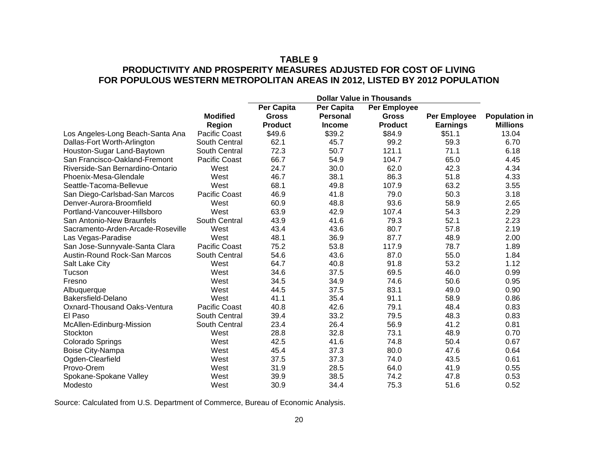### **TABLE 9 PRODUCTIVITY AND PROSPERITY MEASURES ADJUSTED FOR COST OF LIVING FOR POPULOUS WESTERN METROPOLITAN AREAS IN 2012, LISTED BY 2012 POPULATION**

|                                   | <b>Dollar Value in Thousands</b> |                |                 |                     |                 |                      |
|-----------------------------------|----------------------------------|----------------|-----------------|---------------------|-----------------|----------------------|
|                                   |                                  | Per Capita     | Per Capita      | <b>Per Employee</b> |                 |                      |
|                                   | <b>Modified</b>                  | <b>Gross</b>   | <b>Personal</b> | <b>Gross</b>        | Per Employee    | <b>Population in</b> |
|                                   | Region                           | <b>Product</b> | <b>Income</b>   | <b>Product</b>      | <b>Earnings</b> | <b>Millions</b>      |
| Los Angeles-Long Beach-Santa Ana  | Pacific Coast                    | \$49.6         | \$39.2          | \$84.9              | \$51.1          | 13.04                |
| Dallas-Fort Worth-Arlington       | South Central                    | 62.1           | 45.7            | 99.2                | 59.3            | 6.70                 |
| Houston-Sugar Land-Baytown        | South Central                    | 72.3           | 50.7            | 121.1               | 71.1            | 6.18                 |
| San Francisco-Oakland-Fremont     | Pacific Coast                    | 66.7           | 54.9            | 104.7               | 65.0            | 4.45                 |
| Riverside-San Bernardino-Ontario  | West                             | 24.7           | 30.0            | 62.0                | 42.3            | 4.34                 |
| Phoenix-Mesa-Glendale             | West                             | 46.7           | 38.1            | 86.3                | 51.8            | 4.33                 |
| Seattle-Tacoma-Bellevue           | West                             | 68.1           | 49.8            | 107.9               | 63.2            | 3.55                 |
| San Diego-Carlsbad-San Marcos     | Pacific Coast                    | 46.9           | 41.8            | 79.0                | 50.3            | 3.18                 |
| Denver-Aurora-Broomfield          | West                             | 60.9           | 48.8            | 93.6                | 58.9            | 2.65                 |
| Portland-Vancouver-Hillsboro      | West                             | 63.9           | 42.9            | 107.4               | 54.3            | 2.29                 |
| San Antonio-New Braunfels         | South Central                    | 43.9           | 41.6            | 79.3                | 52.1            | 2.23                 |
| Sacramento-Arden-Arcade-Roseville | West                             | 43.4           | 43.6            | 80.7                | 57.8            | 2.19                 |
| Las Vegas-Paradise                | West                             | 48.1           | 36.9            | 87.7                | 48.9            | 2.00                 |
| San Jose-Sunnyvale-Santa Clara    | Pacific Coast                    | 75.2           | 53.8            | 117.9               | 78.7            | 1.89                 |
| Austin-Round Rock-San Marcos      | South Central                    | 54.6           | 43.6            | 87.0                | 55.0            | 1.84                 |
| Salt Lake City                    | West                             | 64.7           | 40.8            | 91.8                | 53.2            | 1.12                 |
| Tucson                            | West                             | 34.6           | 37.5            | 69.5                | 46.0            | 0.99                 |
| Fresno                            | West                             | 34.5           | 34.9            | 74.6                | 50.6            | 0.95                 |
| Albuquerque                       | West                             | 44.5           | 37.5            | 83.1                | 49.0            | 0.90                 |
| Bakersfield-Delano                | West                             | 41.1           | 35.4            | 91.1                | 58.9            | 0.86                 |
| Oxnard-Thousand Oaks-Ventura      | Pacific Coast                    | 40.8           | 42.6            | 79.1                | 48.4            | 0.83                 |
| El Paso                           | South Central                    | 39.4           | 33.2            | 79.5                | 48.3            | 0.83                 |
| McAllen-Edinburg-Mission          | South Central                    | 23.4           | 26.4            | 56.9                | 41.2            | 0.81                 |
| Stockton                          | West                             | 28.8           | 32.8            | 73.1                | 48.9            | 0.70                 |
| <b>Colorado Springs</b>           | West                             | 42.5           | 41.6            | 74.8                | 50.4            | 0.67                 |
| Boise City-Nampa                  | West                             | 45.4           | 37.3            | 80.0                | 47.6            | 0.64                 |
| Ogden-Clearfield                  | West                             | 37.5           | 37.3            | 74.0                | 43.5            | 0.61                 |
| Provo-Orem                        | West                             | 31.9           | 28.5            | 64.0                | 41.9            | 0.55                 |
| Spokane-Spokane Valley            | West                             | 39.9           | 38.5            | 74.2                | 47.8            | 0.53                 |
| Modesto                           | West                             | 30.9           | 34.4            | 75.3                | 51.6            | 0.52                 |

Source: Calculated from U.S. Department of Commerce, Bureau of Economic Analysis.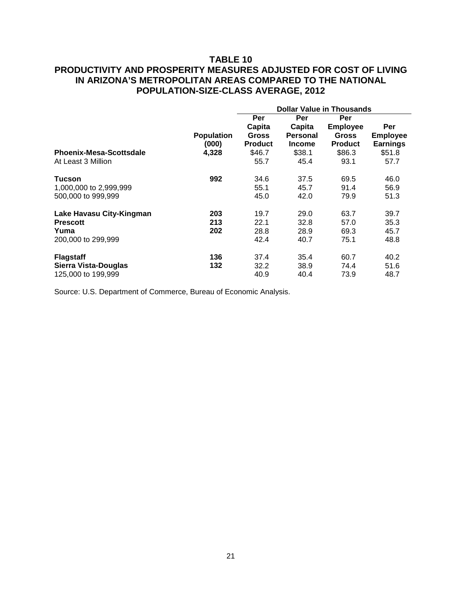### **TABLE 10**

# **PRODUCTIVITY AND PROSPERITY MEASURES ADJUSTED FOR COST OF LIVING IN ARIZONA'S METROPOLITAN AREAS COMPARED TO THE NATIONAL POPULATION-SIZE-CLASS AVERAGE, 2012**

|                                |                   | <b>Dollar Value in Thousands</b> |                 |                 |                 |  |  |  |
|--------------------------------|-------------------|----------------------------------|-----------------|-----------------|-----------------|--|--|--|
|                                |                   | Per                              | Per             | Per             |                 |  |  |  |
|                                |                   | Capita                           | Capita          | <b>Employee</b> | Per             |  |  |  |
|                                | <b>Population</b> | <b>Gross</b>                     | <b>Personal</b> | <b>Gross</b>    | <b>Employee</b> |  |  |  |
|                                | (000)             | <b>Product</b>                   | <b>Income</b>   | <b>Product</b>  | <b>Earnings</b> |  |  |  |
| <b>Phoenix-Mesa-Scottsdale</b> | 4,328             | \$46.7                           | \$38.1          | \$86.3          | \$51.8          |  |  |  |
| At Least 3 Million             |                   | 55.7                             | 45.4            | 93.1            | 57.7            |  |  |  |
| Tucson                         | 992               | 34.6                             | 37.5            | 69.5            | 46.0            |  |  |  |
| 1,000,000 to 2,999,999         |                   | 55.1                             | 45.7            | 91.4            | 56.9            |  |  |  |
| 500,000 to 999,999             |                   | 45.0                             | 42.0            | 79.9            | 51.3            |  |  |  |
| Lake Havasu City-Kingman       | 203               | 19.7                             | 29.0            | 63.7            | 39.7            |  |  |  |
| <b>Prescott</b>                | 213               | 22.1                             | 32.8            | 57.0            | 35.3            |  |  |  |
| Yuma                           | 202               | 28.8                             | 28.9            | 69.3            | 45.7            |  |  |  |
| 200,000 to 299,999             |                   | 42.4                             | 40.7            | 75.1            | 48.8            |  |  |  |
| <b>Flagstaff</b>               | 136               | 37.4                             | 35.4            | 60.7            | 40.2            |  |  |  |
| Sierra Vista-Douglas           | 132               | 32.2                             | 38.9            | 74.4            | 51.6            |  |  |  |
| 125,000 to 199,999             |                   | 40.9                             | 40.4            | 73.9            | 48.7            |  |  |  |

Source: U.S. Department of Commerce, Bureau of Economic Analysis.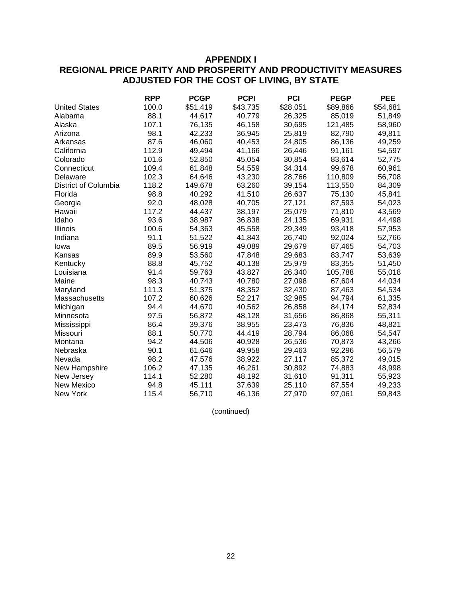### **APPENDIX I**

# **REGIONAL PRICE PARITY AND PROSPERITY AND PRODUCTIVITY MEASURES ADJUSTED FOR THE COST OF LIVING, BY STATE**

|                      | <b>RPP</b> | <b>PCGP</b> | <b>PCPI</b> | <b>PCI</b> | <b>PEGP</b> | <b>PEE</b> |
|----------------------|------------|-------------|-------------|------------|-------------|------------|
| <b>United States</b> | 100.0      | \$51,419    | \$43,735    | \$28,051   | \$89,866    | \$54,681   |
| Alabama              | 88.1       | 44,617      | 40,779      | 26,325     | 85,019      | 51,849     |
| Alaska               | 107.1      | 76,135      | 46,158      | 30,695     | 121,485     | 58,960     |
| Arizona              | 98.1       | 42,233      | 36,945      | 25,819     | 82,790      | 49,811     |
| Arkansas             | 87.6       | 46,060      | 40,453      | 24,805     | 86,136      | 49,259     |
| California           | 112.9      | 49,494      | 41,166      | 26,446     | 91,161      | 54,597     |
| Colorado             | 101.6      | 52,850      | 45,054      | 30,854     | 83,614      | 52,775     |
| Connecticut          | 109.4      | 61,848      | 54,559      | 34,314     | 99,678      | 60,961     |
| Delaware             | 102.3      | 64,646      | 43,230      | 28,766     | 110,809     | 56,708     |
| District of Columbia | 118.2      | 149,678     | 63,260      | 39,154     | 113,550     | 84,309     |
| Florida              | 98.8       | 40,292      | 41,510      | 26,637     | 75,130      | 45,841     |
| Georgia              | 92.0       | 48,028      | 40,705      | 27,121     | 87,593      | 54,023     |
| Hawaii               | 117.2      | 44,437      | 38,197      | 25,079     | 71,810      | 43,569     |
| Idaho                | 93.6       | 38,987      | 36,838      | 24,135     | 69,931      | 44,498     |
| Illinois             | 100.6      | 54,363      | 45,558      | 29,349     | 93,418      | 57,953     |
| Indiana              | 91.1       | 51,522      | 41,843      | 26,740     | 92,024      | 52,766     |
| lowa                 | 89.5       | 56,919      | 49,089      | 29,679     | 87,465      | 54,703     |
| Kansas               | 89.9       | 53,560      | 47,848      | 29,683     | 83,747      | 53,639     |
| Kentucky             | 88.8       | 45,752      | 40,138      | 25,979     | 83,355      | 51,450     |
| Louisiana            | 91.4       | 59,763      | 43,827      | 26,340     | 105,788     | 55,018     |
| Maine                | 98.3       | 40,743      | 40,780      | 27,098     | 67,604      | 44,034     |
| Maryland             | 111.3      | 51,375      | 48,352      | 32,430     | 87,463      | 54,534     |
| Massachusetts        | 107.2      | 60,626      | 52,217      | 32,985     | 94,794      | 61,335     |
| Michigan             | 94.4       | 44,670      | 40,562      | 26,858     | 84,174      | 52,834     |
| Minnesota            | 97.5       | 56,872      | 48,128      | 31,656     | 86,868      | 55,311     |
| Mississippi          | 86.4       | 39,376      | 38,955      | 23,473     | 76,836      | 48,821     |
| Missouri             | 88.1       | 50,770      | 44,419      | 28,794     | 86,068      | 54,547     |
| Montana              | 94.2       | 44,506      | 40,928      | 26,536     | 70,873      | 43,266     |
| Nebraska             | 90.1       | 61,646      | 49,958      | 29,463     | 92,296      | 56,579     |
| Nevada               | 98.2       | 47,576      | 38,922      | 27,117     | 85,372      | 49,015     |
| New Hampshire        | 106.2      | 47,135      | 46,261      | 30,892     | 74,883      | 48,998     |
| New Jersey           | 114.1      | 52,280      | 48,192      | 31,610     | 91,311      | 55,923     |
| New Mexico           | 94.8       | 45,111      | 37,639      | 25,110     | 87,554      | 49,233     |
| New York             | 115.4      | 56,710      | 46,136      | 27,970     | 97,061      | 59,843     |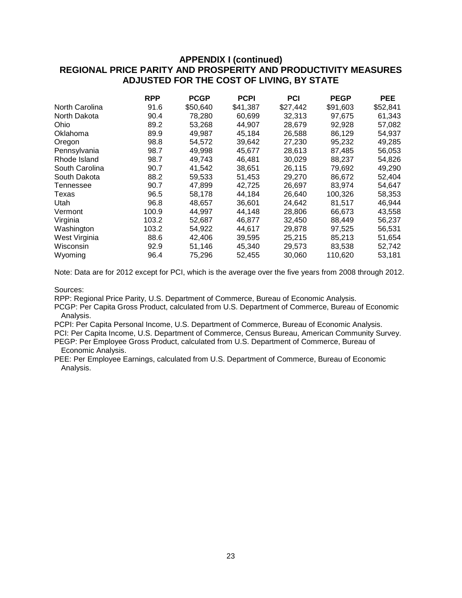|                | <b>RPP</b> | <b>PCGP</b> | <b>PCPI</b> | <b>PCI</b> | <b>PEGP</b> | <b>PEE</b> |
|----------------|------------|-------------|-------------|------------|-------------|------------|
| North Carolina | 91.6       | \$50,640    | \$41,387    | \$27,442   | \$91,603    | \$52,841   |
| North Dakota   | 90.4       | 78,280      | 60,699      | 32,313     | 97.675      | 61,343     |
| Ohio           | 89.2       | 53.268      | 44.907      | 28,679     | 92,928      | 57,082     |
| Oklahoma       | 89.9       | 49,987      | 45,184      | 26,588     | 86,129      | 54,937     |
| Oregon         | 98.8       | 54,572      | 39,642      | 27,230     | 95,232      | 49,285     |
| Pennsylvania   | 98.7       | 49.998      | 45.677      | 28,613     | 87,485      | 56,053     |
| Rhode Island   | 98.7       | 49.743      | 46.481      | 30,029     | 88,237      | 54,826     |
| South Carolina | 90.7       | 41,542      | 38,651      | 26,115     | 79,692      | 49,290     |
| South Dakota   | 88.2       | 59,533      | 51,453      | 29,270     | 86,672      | 52,404     |
| Tennessee      | 90.7       | 47,899      | 42,725      | 26,697     | 83,974      | 54,647     |
| Texas          | 96.5       | 58,178      | 44,184      | 26,640     | 100,326     | 58,353     |
| Utah           | 96.8       | 48,657      | 36,601      | 24,642     | 81,517      | 46,944     |
| Vermont        | 100.9      | 44,997      | 44,148      | 28,806     | 66,673      | 43,558     |
| Virginia       | 103.2      | 52,687      | 46,877      | 32,450     | 88,449      | 56,237     |
| Washington     | 103.2      | 54,922      | 44,617      | 29,878     | 97,525      | 56,531     |
| West Virginia  | 88.6       | 42,406      | 39,595      | 25,215     | 85,213      | 51,654     |
| Wisconsin      | 92.9       | 51,146      | 45,340      | 29,573     | 83,538      | 52,742     |
| Wyoming        | 96.4       | 75,296      | 52,455      | 30,060     | 110,620     | 53,181     |

Note: Data are for 2012 except for PCI, which is the average over the five years from 2008 through 2012.

Sources:

RPP: Regional Price Parity, U.S. Department of Commerce, Bureau of Economic Analysis.

PCGP: Per Capita Gross Product, calculated from U.S. Department of Commerce, Bureau of Economic Analysis.

PCPI: Per Capita Personal Income, U.S. Department of Commerce, Bureau of Economic Analysis. PCI: Per Capita Income, U.S. Department of Commerce, Census Bureau, American Community Survey. PEGP: Per Employee Gross Product, calculated from U.S. Department of Commerce, Bureau of

Economic Analysis.

PEE: Per Employee Earnings, calculated from U.S. Department of Commerce, Bureau of Economic Analysis.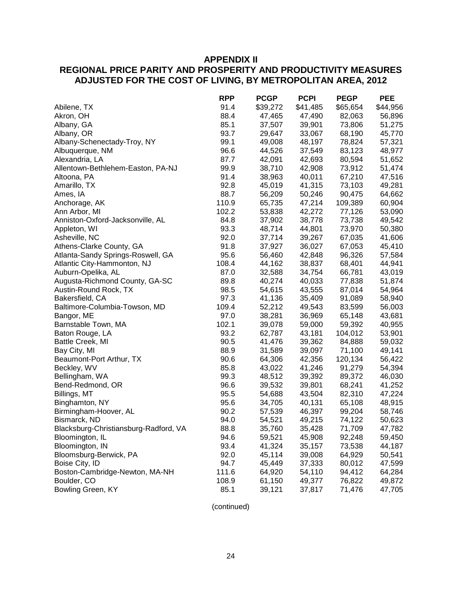### **APPENDIX II**

# **REGIONAL PRICE PARITY AND PROSPERITY AND PRODUCTIVITY MEASURES ADJUSTED FOR THE COST OF LIVING, BY METROPOLITAN AREA, 2012**

|                                       | <b>RPP</b> | <b>PCGP</b> | <b>PCPI</b> | <b>PEGP</b> | <b>PEE</b> |
|---------------------------------------|------------|-------------|-------------|-------------|------------|
| Abilene, TX                           | 91.4       | \$39,272    | \$41,485    | \$65,654    | \$44,956   |
| Akron, OH                             | 88.4       | 47,465      | 47,490      | 82,063      | 56,896     |
| Albany, GA                            | 85.1       | 37,507      | 39,901      | 73,806      | 51,275     |
| Albany, OR                            | 93.7       | 29,647      | 33,067      | 68,190      | 45,770     |
| Albany-Schenectady-Troy, NY           | 99.1       | 49,008      | 48,197      | 78,824      | 57,321     |
| Albuquerque, NM                       | 96.6       | 44,526      | 37,549      | 83,123      | 48,977     |
| Alexandria, LA                        | 87.7       | 42,091      | 42,693      | 80,594      | 51,652     |
| Allentown-Bethlehem-Easton, PA-NJ     | 99.9       | 38,710      | 42,908      | 73,912      | 51,474     |
| Altoona, PA                           | 91.4       | 38,963      | 40,011      | 67,210      | 47,516     |
| Amarillo, TX                          | 92.8       | 45,019      | 41,315      | 73,103      | 49,281     |
| Ames, IA                              | 88.7       | 56,209      | 50,246      | 90,475      | 64,662     |
| Anchorage, AK                         | 110.9      | 65,735      | 47,214      | 109,389     | 60,904     |
| Ann Arbor, MI                         | 102.2      | 53,838      | 42,272      | 77,126      | 53,090     |
| Anniston-Oxford-Jacksonville, AL      | 84.8       | 37,902      | 38,778      | 73,738      | 49,542     |
| Appleton, WI                          | 93.3       | 48,714      | 44,801      | 73,970      | 50,380     |
| Asheville, NC                         | 92.0       | 37,714      | 39,267      | 67,035      | 41,606     |
| Athens-Clarke County, GA              | 91.8       | 37,927      | 36,027      | 67,053      | 45,410     |
| Atlanta-Sandy Springs-Roswell, GA     | 95.6       | 56,460      | 42,848      | 96,326      | 57,584     |
| Atlantic City-Hammonton, NJ           | 108.4      | 44,162      | 38,837      | 68,401      | 44,941     |
| Auburn-Opelika, AL                    | 87.0       | 32,588      | 34,754      | 66,781      | 43,019     |
| Augusta-Richmond County, GA-SC        | 89.8       | 40,274      | 40,033      | 77,838      | 51,874     |
| Austin-Round Rock, TX                 | 98.5       | 54,615      | 43,555      | 87,014      | 54,964     |
| Bakersfield, CA                       | 97.3       | 41,136      | 35,409      | 91,089      | 58,940     |
| Baltimore-Columbia-Towson, MD         | 109.4      | 52,212      | 49,543      | 83,599      | 56,003     |
| Bangor, ME                            | 97.0       | 38,281      | 36,969      | 65,148      | 43,681     |
| Barnstable Town, MA                   | 102.1      | 39,078      | 59,000      | 59,392      | 40,955     |
| Baton Rouge, LA                       | 93.2       | 62,787      | 43,181      | 104,012     | 53,901     |
| Battle Creek, MI                      | 90.5       | 41,476      | 39,362      | 84,888      | 59,032     |
| Bay City, MI                          | 88.9       | 31,589      | 39,097      | 71,100      | 49,141     |
| Beaumont-Port Arthur, TX              | 90.6       | 64,306      | 42,356      | 120,134     | 56,422     |
| Beckley, WV                           | 85.8       | 43,022      | 41,246      | 91,279      | 54,394     |
| Bellingham, WA                        | 99.3       | 48,512      | 39,392      | 89,372      | 46,030     |
| Bend-Redmond, OR                      | 96.6       | 39,532      | 39,801      | 68,241      | 41,252     |
| Billings, MT                          | 95.5       | 54,688      | 43,504      | 82,310      | 47,224     |
| Binghamton, NY                        | 95.6       | 34,705      | 40,131      | 65,108      | 48,915     |
| Birmingham-Hoover, AL                 | 90.2       | 57,539      | 46,397      | 99,204      | 58,746     |
| Bismarck, ND                          | 94.0       | 54,521      | 49,215      | 74,122      | 50,623     |
| Blacksburg-Christiansburg-Radford, VA | 88.8       | 35,760      | 35,428      | 71,709      | 47,782     |
| Bloomington, IL                       | 94.6       | 59,521      | 45,908      | 92,248      | 59,450     |
| Bloomington, IN                       | 93.4       | 41,324      | 35,157      | 73,538      | 44,187     |
| Bloomsburg-Berwick, PA                | 92.0       | 45,114      | 39,008      | 64,929      | 50,541     |
| Boise City, ID                        | 94.7       | 45,449      | 37,333      | 80,012      | 47,599     |
| Boston-Cambridge-Newton, MA-NH        | 111.6      | 64,920      | 54,110      | 94,412      | 64,284     |
| Boulder, CO                           | 108.9      | 61,150      | 49,377      | 76,822      | 49,872     |
| Bowling Green, KY                     | 85.1       | 39,121      | 37,817      | 71,476      | 47,705     |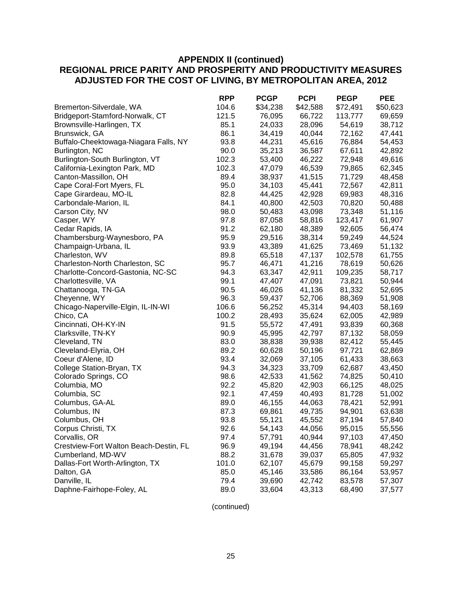|                                        | <b>RPP</b> | <b>PCGP</b> | <b>PCPI</b> | <b>PEGP</b> | <b>PEE</b> |
|----------------------------------------|------------|-------------|-------------|-------------|------------|
| Bremerton-Silverdale, WA               | 104.6      | \$34,238    | \$42,588    | \$72,491    | \$50,623   |
| Bridgeport-Stamford-Norwalk, CT        | 121.5      | 76,095      | 66,722      | 113,777     | 69,659     |
| Brownsville-Harlingen, TX              | 85.1       | 24,033      | 28,096      | 54,619      | 38,712     |
| Brunswick, GA                          | 86.1       | 34,419      | 40,044      | 72,162      | 47,441     |
| Buffalo-Cheektowaga-Niagara Falls, NY  | 93.8       | 44,231      | 45,616      | 76,884      | 54,453     |
| Burlington, NC                         | 90.0       | 35,213      | 36,587      | 67,611      | 42,892     |
| Burlington-South Burlington, VT        | 102.3      | 53,400      | 46,222      | 72,948      | 49,616     |
| California-Lexington Park, MD          | 102.3      | 47,079      | 46,539      | 79,865      | 62,345     |
| Canton-Massillon, OH                   | 89.4       | 38,937      | 41,515      | 71,729      | 48,458     |
| Cape Coral-Fort Myers, FL              | 95.0       | 34,103      | 45,441      | 72,567      | 42,811     |
| Cape Girardeau, MO-IL                  | 82.8       | 44,425      | 42,928      | 69,983      | 48,316     |
| Carbondale-Marion, IL                  | 84.1       | 40,800      | 42,503      | 70,820      | 50,488     |
| Carson City, NV                        | 98.0       | 50,483      | 43,098      | 73,348      | 51,116     |
| Casper, WY                             | 97.8       | 87,058      | 58,816      | 123,417     | 61,907     |
| Cedar Rapids, IA                       | 91.2       | 62,180      | 48,389      | 92,605      | 56,474     |
| Chambersburg-Waynesboro, PA            | 95.9       | 29,516      | 38,314      | 59,249      | 44,524     |
| Champaign-Urbana, IL                   | 93.9       | 43,389      | 41,625      | 73,469      | 51,132     |
| Charleston, WV                         | 89.8       | 65,518      | 47,137      | 102,578     | 61,755     |
| Charleston-North Charleston, SC        | 95.7       | 46,471      | 41,216      | 78,619      | 50,626     |
| Charlotte-Concord-Gastonia, NC-SC      | 94.3       | 63,347      | 42,911      | 109,235     | 58,717     |
| Charlottesville, VA                    | 99.1       | 47,407      | 47,091      | 73,821      | 50,944     |
| Chattanooga, TN-GA                     | 90.5       | 46,026      | 41,136      | 81,332      | 52,695     |
| Cheyenne, WY                           | 96.3       | 59,437      | 52,706      | 88,369      | 51,908     |
| Chicago-Naperville-Elgin, IL-IN-WI     | 106.6      | 56,252      | 45,314      | 94,403      | 58,169     |
| Chico, CA                              | 100.2      | 28,493      | 35,624      | 62,005      | 42,989     |
| Cincinnati, OH-KY-IN                   | 91.5       | 55,572      | 47,491      | 93,839      | 60,368     |
| Clarksville, TN-KY                     | 90.9       | 45,995      | 42,797      | 87,132      | 58,059     |
| Cleveland, TN                          | 83.0       | 38,838      | 39,938      | 82,412      | 55,445     |
| Cleveland-Elyria, OH                   | 89.2       | 60,628      | 50,196      | 97,721      | 62,869     |
| Coeur d'Alene, ID                      | 93.4       | 32,069      | 37,105      | 61,433      | 38,663     |
| College Station-Bryan, TX              | 94.3       | 34,323      | 33,709      | 62,687      | 43,450     |
| Colorado Springs, CO                   | 98.6       | 42,533      | 41,562      | 74,825      | 50,410     |
| Columbia, MO                           | 92.2       | 45,820      | 42,903      | 66,125      | 48,025     |
| Columbia, SC                           | 92.1       | 47,459      | 40,493      | 81,728      | 51,002     |
| Columbus, GA-AL                        | 89.0       | 46,155      | 44,063      | 78,421      | 52,991     |
| Columbus, IN                           | 87.3       | 69,861      | 49,735      | 94,901      | 63,638     |
| Columbus, OH                           | 93.8       | 55,121      | 45,552      | 87,194      | 57,840     |
| Corpus Christi, TX                     | 92.6       | 54,143      | 44,056      | 95,015      | 55,556     |
| Corvallis, OR                          | 97.4       | 57,791      | 40,944      | 97,103      | 47,450     |
| Crestview-Fort Walton Beach-Destin, FL | 96.9       | 49,194      | 44,456      | 78,941      | 48,242     |
| Cumberland, MD-WV                      | 88.2       | 31,678      | 39,037      | 65,805      | 47,932     |
| Dallas-Fort Worth-Arlington, TX        | 101.0      | 62,107      | 45,679      | 99,158      | 59,297     |
| Dalton, GA                             | 85.0       | 45,146      | 33,586      | 86,164      | 53,957     |
| Danville, IL                           | 79.4       | 39,690      | 42,742      | 83,578      | 57,307     |
| Daphne-Fairhope-Foley, AL              | 89.0       | 33,604      | 43,313      | 68,490      | 37,577     |
|                                        |            |             |             |             |            |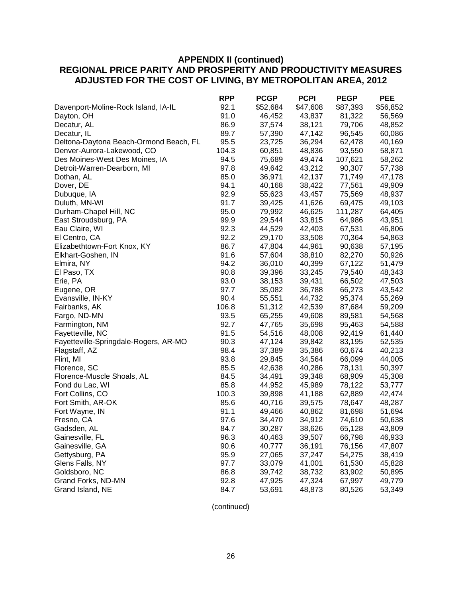|                                        | <b>RPP</b> | <b>PCGP</b> | <b>PCPI</b> | <b>PEGP</b> | <b>PEE</b> |
|----------------------------------------|------------|-------------|-------------|-------------|------------|
| Davenport-Moline-Rock Island, IA-IL    | 92.1       | \$52,684    | \$47,608    | \$87,393    | \$56,852   |
| Dayton, OH                             | 91.0       | 46,452      | 43,837      | 81,322      | 56,569     |
| Decatur, AL                            | 86.9       | 37,574      | 38,121      | 79,706      | 48,852     |
| Decatur, IL                            | 89.7       | 57,390      | 47,142      | 96,545      | 60,086     |
| Deltona-Daytona Beach-Ormond Beach, FL | 95.5       | 23,725      | 36,294      | 62,478      | 40,169     |
| Denver-Aurora-Lakewood, CO             | 104.3      | 60,851      | 48,836      | 93,550      | 58,871     |
| Des Moines-West Des Moines, IA         | 94.5       | 75,689      | 49,474      | 107,621     | 58,262     |
| Detroit-Warren-Dearborn, MI            | 97.8       | 49,642      | 43,212      | 90,307      | 57,738     |
| Dothan, AL                             | 85.0       | 36,971      | 42,137      | 71,749      | 47,178     |
| Dover, DE                              | 94.1       | 40,168      | 38,422      | 77,561      | 49,909     |
| Dubuque, IA                            | 92.9       | 55,623      | 43,457      | 75,569      | 48,937     |
| Duluth, MN-WI                          | 91.7       | 39,425      | 41,626      | 69,475      | 49,103     |
| Durham-Chapel Hill, NC                 | 95.0       | 79,992      | 46,625      | 111,287     | 64,405     |
| East Stroudsburg, PA                   | 99.9       | 29,544      | 33,815      | 64,986      | 43,951     |
| Eau Claire, WI                         | 92.3       | 44,529      | 42,403      | 67,531      | 46,806     |
| El Centro, CA                          | 92.2       | 29,170      | 33,508      | 70,364      | 54,863     |
| Elizabethtown-Fort Knox, KY            | 86.7       | 47,804      | 44,961      | 90,638      | 57,195     |
| Elkhart-Goshen, IN                     | 91.6       | 57,604      | 38,810      | 82,270      | 50,926     |
| Elmira, NY                             | 94.2       | 36,010      | 40,399      | 67,122      | 51,479     |
| El Paso, TX                            | 90.8       | 39,396      | 33,245      | 79,540      | 48,343     |
| Erie, PA                               | 93.0       | 38,153      | 39,431      | 66,502      | 47,503     |
| Eugene, OR                             | 97.7       | 35,082      | 36,788      | 66,273      | 43,542     |
| Evansville, IN-KY                      | 90.4       | 55,551      | 44,732      | 95,374      | 55,269     |
| Fairbanks, AK                          | 106.8      | 51,312      | 42,539      | 87,684      | 59,209     |
| Fargo, ND-MN                           | 93.5       | 65,255      | 49,608      | 89,581      | 54,568     |
| Farmington, NM                         | 92.7       | 47,765      | 35,698      | 95,463      | 54,588     |
| Fayetteville, NC                       | 91.5       | 54,516      | 48,008      | 92,419      | 61,440     |
| Fayetteville-Springdale-Rogers, AR-MO  | 90.3       | 47,124      | 39,842      | 83,195      | 52,535     |
| Flagstaff, AZ                          | 98.4       | 37,389      | 35,386      | 60,674      | 40,213     |
| Flint, MI                              | 93.8       | 29,845      | 34,564      | 66,099      | 44,005     |
| Florence, SC                           | 85.5       | 42,638      | 40,286      | 78,131      | 50,397     |
| Florence-Muscle Shoals, AL             | 84.5       | 34,491      | 39,348      | 68,909      | 45,308     |
| Fond du Lac, WI                        | 85.8       | 44,952      | 45,989      | 78,122      | 53,777     |
| Fort Collins, CO                       | 100.3      | 39,898      | 41,188      | 62,889      | 42,474     |
| Fort Smith, AR-OK                      | 85.6       | 40,716      | 39,575      | 78,647      | 48,287     |
| Fort Wayne, IN                         | 91.1       | 49,466      | 40,862      | 81,698      | 51,694     |
| Fresno, CA                             | 97.6       | 34,470      | 34,912      | 74,610      | 50,638     |
| Gadsden, AL                            | 84.7       | 30,287      | 38,626      | 65,128      | 43,809     |
| Gainesville, FL                        | 96.3       | 40,463      | 39,507      | 66,798      | 46,933     |
| Gainesville, GA                        | 90.6       | 40,777      | 36,191      | 76,156      | 47,807     |
| Gettysburg, PA                         | 95.9       | 27,065      | 37,247      | 54,275      | 38,419     |
| Glens Falls, NY                        | 97.7       | 33,079      | 41,001      | 61,530      | 45,828     |
| Goldsboro, NC                          | 86.8       | 39,742      | 38,732      | 83,902      | 50,895     |
| Grand Forks, ND-MN                     | 92.8       | 47,925      | 47,324      | 67,997      | 49,779     |
| Grand Island, NE                       | 84.7       | 53,691      | 48,873      | 80,526      | 53,349     |
|                                        |            |             |             |             |            |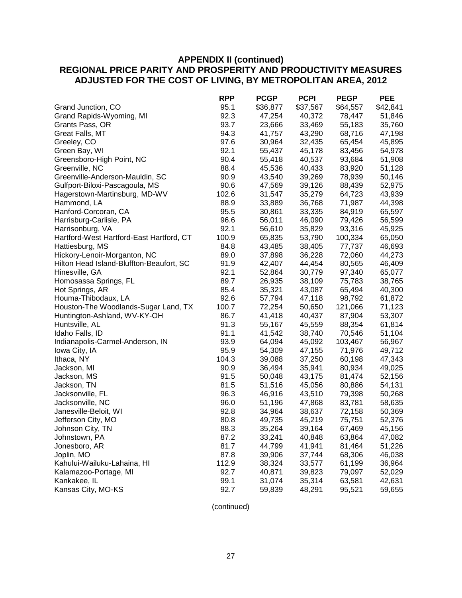|                                          | <b>RPP</b> | <b>PCGP</b> | <b>PCPI</b> | <b>PEGP</b> | <b>PEE</b> |
|------------------------------------------|------------|-------------|-------------|-------------|------------|
| Grand Junction, CO                       | 95.1       | \$36,877    | \$37,567    | \$64,557    | \$42,841   |
| Grand Rapids-Wyoming, MI                 | 92.3       | 47,254      | 40,372      | 78,447      | 51,846     |
| Grants Pass, OR                          | 93.7       | 23,666      | 33,469      | 55,183      | 35,760     |
| Great Falls, MT                          | 94.3       | 41,757      | 43,290      | 68,716      | 47,198     |
| Greeley, CO                              | 97.6       | 30,964      | 32,435      | 65,454      | 45,895     |
| Green Bay, WI                            | 92.1       | 55,437      | 45,178      | 83,456      | 54,978     |
| Greensboro-High Point, NC                | 90.4       | 55,418      | 40,537      | 93,684      | 51,908     |
| Greenville, NC                           | 88.4       | 45,536      | 40,433      | 83,920      | 51,128     |
| Greenville-Anderson-Mauldin, SC          | 90.9       | 43,540      | 39,269      | 78,939      | 50,146     |
| Gulfport-Biloxi-Pascagoula, MS           | 90.6       | 47,569      | 39,126      | 88,439      | 52,975     |
| Hagerstown-Martinsburg, MD-WV            | 102.6      | 31,547      | 35,279      | 64,723      | 43,939     |
| Hammond, LA                              | 88.9       | 33,889      | 36,768      | 71,987      | 44,398     |
| Hanford-Corcoran, CA                     | 95.5       | 30,861      | 33,335      | 84,919      | 65,597     |
| Harrisburg-Carlisle, PA                  | 96.6       | 56,011      | 46,090      | 79,426      | 56,599     |
| Harrisonburg, VA                         | 92.1       | 56,610      | 35,829      | 93,316      | 45,925     |
| Hartford-West Hartford-East Hartford, CT | 100.9      | 65,835      | 53,790      | 100,334     | 65,050     |
| Hattiesburg, MS                          | 84.8       | 43,485      | 38,405      | 77,737      | 46,693     |
| Hickory-Lenoir-Morganton, NC             | 89.0       | 37,898      | 36,228      | 72,060      | 44,273     |
| Hilton Head Island-Bluffton-Beaufort, SC | 91.9       | 42,407      | 44,454      | 80,565      | 46,409     |
| Hinesville, GA                           | 92.1       | 52,864      | 30,779      | 97,340      | 65,077     |
| Homosassa Springs, FL                    | 89.7       | 26,935      | 38,109      | 75,783      | 38,765     |
| Hot Springs, AR                          | 85.4       | 35,321      | 43,087      | 65,494      | 40,300     |
| Houma-Thibodaux, LA                      | 92.6       | 57,794      | 47,118      | 98,792      | 61,872     |
| Houston-The Woodlands-Sugar Land, TX     | 100.7      | 72,254      | 50,650      | 121,066     | 71,123     |
| Huntington-Ashland, WV-KY-OH             | 86.7       | 41,418      | 40,437      | 87,904      | 53,307     |
| Huntsville, AL                           | 91.3       | 55,167      | 45,559      | 88,354      | 61,814     |
| Idaho Falls, ID                          | 91.1       | 41,542      | 38,740      | 70,546      | 51,104     |
| Indianapolis-Carmel-Anderson, IN         | 93.9       | 64,094      | 45,092      | 103,467     | 56,967     |
| Iowa City, IA                            | 95.9       | 54,309      | 47,155      | 71,976      | 49,712     |
| Ithaca, NY                               | 104.3      | 39,088      | 37,250      | 60,198      | 47,343     |
| Jackson, MI                              | 90.9       | 36,494      | 35,941      | 80,934      | 49,025     |
| Jackson, MS                              | 91.5       | 50,048      | 43,175      | 81,474      | 52,156     |
| Jackson, TN                              | 81.5       | 51,516      | 45,056      | 80,886      | 54,131     |
| Jacksonville, FL                         | 96.3       | 46,916      | 43,510      | 79,398      | 50,268     |
| Jacksonville, NC                         | 96.0       | 51,196      | 47,868      | 83,781      | 58,635     |
| Janesville-Beloit, WI                    | 92.8       | 34,964      | 38,637      | 72,158      | 50,369     |
| Jefferson City, MO                       | 80.8       | 49,735      | 45,219      | 75,751      | 52,376     |
| Johnson City, TN                         | 88.3       | 35,264      | 39,164      | 67,469      | 45,156     |
| Johnstown, PA                            | 87.2       | 33,241      | 40,848      | 63,864      | 47,082     |
| Jonesboro, AR                            | 81.7       | 44,799      | 41,941      | 81,464      | 51,226     |
| Joplin, MO                               | 87.8       | 39,906      | 37,744      | 68,306      | 46,038     |
| Kahului-Wailuku-Lahaina, HI              | 112.9      | 38,324      | 33,577      | 61,199      | 36,964     |
| Kalamazoo-Portage, MI                    | 92.7       | 40,871      | 39,823      | 79,097      | 52,029     |
| Kankakee, IL                             | 99.1       | 31,074      | 35,314      | 63,581      | 42,631     |
| Kansas City, MO-KS                       | 92.7       | 59,839      | 48,291      | 95,521      | 59,655     |
|                                          |            |             |             |             |            |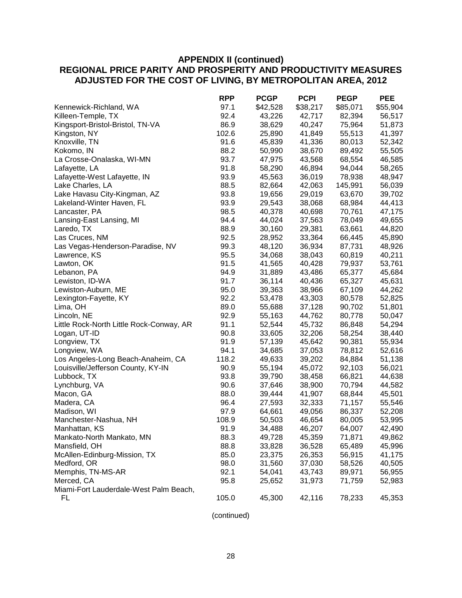|                                          | <b>RPP</b> | <b>PCGP</b> | <b>PCPI</b> | <b>PEGP</b> | <b>PEE</b> |
|------------------------------------------|------------|-------------|-------------|-------------|------------|
| Kennewick-Richland, WA                   | 97.1       | \$42,528    | \$38,217    | \$85,071    | \$55,904   |
| Killeen-Temple, TX                       | 92.4       | 43,226      | 42,717      | 82,394      | 56,517     |
| Kingsport-Bristol-Bristol, TN-VA         | 86.9       | 38,629      | 40,247      | 75,964      | 51,873     |
| Kingston, NY                             | 102.6      | 25,890      | 41,849      | 55,513      | 41,397     |
| Knoxville, TN                            | 91.6       | 45,839      | 41,336      | 80,013      | 52,342     |
| Kokomo, IN                               | 88.2       | 50,990      | 38,670      | 89,492      | 55,505     |
| La Crosse-Onalaska, WI-MN                | 93.7       | 47,975      | 43,568      | 68,554      | 46,585     |
| Lafayette, LA                            | 91.8       | 58,290      | 46,894      | 94,044      | 58,265     |
| Lafayette-West Lafayette, IN             | 93.9       | 45,563      | 36,019      | 78,938      | 48,947     |
| Lake Charles, LA                         | 88.5       | 82,664      | 42,063      | 145,991     | 56,039     |
| Lake Havasu City-Kingman, AZ             | 93.8       | 19,656      | 29,019      | 63,670      | 39,702     |
| Lakeland-Winter Haven, FL                | 93.9       | 29,543      | 38,068      | 68,984      | 44,413     |
| Lancaster, PA                            | 98.5       | 40,378      | 40,698      | 70,761      | 47,175     |
| Lansing-East Lansing, MI                 | 94.4       | 44,024      | 37,563      | 78,049      | 49,655     |
| Laredo, TX                               | 88.9       | 30,160      | 29,381      | 63,661      | 44,820     |
| Las Cruces, NM                           | 92.5       | 28,952      | 33,364      | 66,445      | 45,890     |
| Las Vegas-Henderson-Paradise, NV         | 99.3       | 48,120      | 36,934      | 87,731      | 48,926     |
| Lawrence, KS                             | 95.5       | 34,068      | 38,043      | 60,819      | 40,211     |
| Lawton, OK                               | 91.5       | 41,565      | 40,428      | 79,937      | 53,761     |
| Lebanon, PA                              | 94.9       | 31,889      | 43,486      | 65,377      | 45,684     |
| Lewiston, ID-WA                          | 91.7       | 36,114      | 40,436      | 65,327      | 45,631     |
| Lewiston-Auburn, ME                      | 95.0       | 39,363      | 38,966      | 67,109      | 44,262     |
| Lexington-Fayette, KY                    | 92.2       | 53,478      | 43,303      | 80,578      | 52,825     |
| Lima, OH                                 | 89.0       | 55,688      | 37,128      | 90,702      | 51,801     |
| Lincoln, NE                              | 92.9       | 55,163      | 44,762      | 80,778      | 50,047     |
| Little Rock-North Little Rock-Conway, AR | 91.1       | 52,544      | 45,732      | 86,848      | 54,294     |
| Logan, UT-ID                             | 90.8       | 33,605      | 32,206      | 58,254      | 38,440     |
| Longview, TX                             | 91.9       | 57,139      | 45,642      | 90,381      | 55,934     |
| Longview, WA                             | 94.1       | 34,685      | 37,053      | 78,812      | 52,616     |
| Los Angeles-Long Beach-Anaheim, CA       | 118.2      | 49,633      | 39,202      | 84,884      | 51,138     |
| Louisville/Jefferson County, KY-IN       | 90.9       | 55,194      | 45,072      | 92,103      | 56,021     |
| Lubbock, TX                              | 93.8       | 39,790      | 38,458      | 66,821      | 44,638     |
| Lynchburg, VA                            | 90.6       | 37,646      | 38,900      | 70,794      | 44,582     |
| Macon, GA                                | 88.0       | 39,444      | 41,907      | 68,844      | 45,501     |
| Madera, CA                               | 96.4       | 27,593      | 32,333      | 71,157      | 55,546     |
| Madison, WI                              | 97.9       | 64,661      | 49,056      | 86,337      | 52,208     |
| Manchester-Nashua, NH                    | 108.9      | 50,503      | 46,654      | 80,005      | 53,995     |
| Manhattan, KS                            | 91.9       | 34,488      | 46,207      | 64,007      | 42,490     |
| Mankato-North Mankato, MN                | 88.3       | 49,728      | 45,359      | 71,871      | 49,862     |
| Mansfield, OH                            | 88.8       | 33,828      | 36,528      | 65,489      | 45,996     |
| McAllen-Edinburg-Mission, TX             | 85.0       | 23,375      | 26,353      | 56,915      | 41,175     |
| Medford, OR                              | 98.0       | 31,560      | 37,030      | 58,526      | 40,505     |
| Memphis, TN-MS-AR                        | 92.1       | 54,041      | 43,743      | 89,971      | 56,955     |
| Merced, CA                               | 95.8       | 25,652      | 31,973      | 71,759      | 52,983     |
| Miami-Fort Lauderdale-West Palm Beach,   |            |             |             |             |            |
| FL                                       | 105.0      | 45,300      | 42,116      | 78,233      | 45,353     |
|                                          |            |             |             |             |            |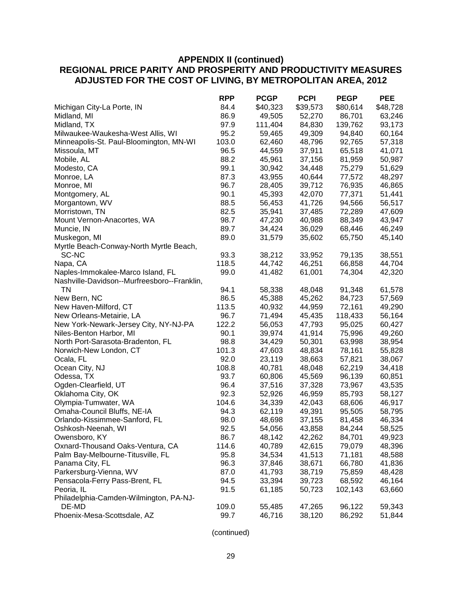|                                             | <b>RPP</b> | <b>PCGP</b> | <b>PCPI</b> | <b>PEGP</b> | <b>PEE</b> |
|---------------------------------------------|------------|-------------|-------------|-------------|------------|
| Michigan City-La Porte, IN                  | 84.4       | \$40,323    | \$39,573    | \$80,614    | \$48,728   |
| Midland, MI                                 | 86.9       | 49,505      | 52,270      | 86,701      | 63,246     |
| Midland, TX                                 | 97.9       | 111,404     | 84,830      | 139,762     | 93,173     |
| Milwaukee-Waukesha-West Allis, WI           | 95.2       | 59,465      | 49,309      | 94,840      | 60,164     |
| Minneapolis-St. Paul-Bloomington, MN-WI     | 103.0      | 62,460      | 48,796      | 92,765      | 57,318     |
| Missoula, MT                                | 96.5       | 44,559      | 37,911      | 65,518      | 41,071     |
| Mobile, AL                                  | 88.2       | 45,961      | 37,156      | 81,959      | 50,987     |
| Modesto, CA                                 | 99.1       | 30,942      | 34,448      | 75,279      | 51,629     |
| Monroe, LA                                  | 87.3       | 43,955      | 40,644      | 77,572      | 48,297     |
| Monroe, MI                                  | 96.7       | 28,405      | 39,712      | 76,935      | 46,865     |
| Montgomery, AL                              | 90.1       | 45,393      | 42,070      | 77,371      | 51,441     |
| Morgantown, WV                              | 88.5       | 56,453      | 41,726      | 94,566      | 56,517     |
| Morristown, TN                              | 82.5       | 35,941      | 37,485      | 72,289      | 47,609     |
| Mount Vernon-Anacortes, WA                  | 98.7       | 47,230      | 40,988      | 88,349      | 43,947     |
| Muncie, IN                                  | 89.7       | 34,424      | 36,029      | 68,446      | 46,249     |
| Muskegon, MI                                | 89.0       | 31,579      | 35,602      | 65,750      | 45,140     |
| Myrtle Beach-Conway-North Myrtle Beach,     |            |             |             |             |            |
| SC-NC                                       | 93.3       | 38,212      | 33,952      | 79,135      | 38,551     |
| Napa, CA                                    | 118.5      | 44,742      | 46,251      | 66,858      | 44,704     |
| Naples-Immokalee-Marco Island, FL           | 99.0       | 41,482      | 61,001      | 74,304      | 42,320     |
| Nashville-Davidson--Murfreesboro--Franklin, |            |             |             |             |            |
| <b>TN</b>                                   | 94.1       | 58,338      | 48,048      | 91,348      | 61,578     |
| New Bern, NC                                | 86.5       | 45,388      | 45,262      | 84,723      | 57,569     |
| New Haven-Milford, CT                       | 113.5      | 40,932      | 44,959      | 72,161      | 49,290     |
| New Orleans-Metairie, LA                    | 96.7       | 71,494      | 45,435      | 118,433     | 56,164     |
| New York-Newark-Jersey City, NY-NJ-PA       | 122.2      | 56,053      | 47,793      | 95,025      | 60,427     |
| Niles-Benton Harbor, MI                     | 90.1       | 39,974      | 41,914      | 75,996      | 49,260     |
| North Port-Sarasota-Bradenton, FL           | 98.8       | 34,429      | 50,301      | 63,998      | 38,954     |
| Norwich-New London, CT                      | 101.3      | 47,603      | 48,834      | 78,161      | 55,828     |
| Ocala, FL                                   | 92.0       | 23,119      | 38,663      | 57,821      | 38,067     |
| Ocean City, NJ                              | 108.8      | 40,781      | 48,048      | 62,219      | 34,418     |
| Odessa, TX                                  | 93.7       | 60,806      | 45,569      | 96,139      | 60,851     |
| Ogden-Clearfield, UT                        | 96.4       | 37,516      | 37,328      | 73,967      | 43,535     |
| Oklahoma City, OK                           | 92.3       | 52,926      | 46,959      | 85,793      | 58,127     |
| Olympia-Tumwater, WA                        | 104.6      | 34,339      | 42,043      | 68,606      | 46,917     |
| Omaha-Council Bluffs, NE-IA                 | 94.3       | 62,119      | 49,391      | 95,505      | 58,795     |
| Orlando-Kissimmee-Sanford, FL               | 98.0       | 48,698      | 37,155      | 81,458      | 46,334     |
| Oshkosh-Neenah, WI                          | 92.5       | 54,056      | 43,858      | 84,244      | 58,525     |
| Owensboro, KY                               | 86.7       | 48,142      | 42,262      | 84,701      | 49,923     |
| Oxnard-Thousand Oaks-Ventura, CA            | 114.6      | 40,789      | 42,615      | 79,079      | 48,396     |
| Palm Bay-Melbourne-Titusville, FL           | 95.8       | 34,534      | 41,513      | 71,181      | 48,588     |
| Panama City, FL                             | 96.3       | 37,846      | 38,671      | 66,780      | 41,836     |
| Parkersburg-Vienna, WV                      | 87.0       | 41,793      | 38,719      | 75,859      | 48,428     |
| Pensacola-Ferry Pass-Brent, FL              | 94.5       | 33,394      | 39,723      | 68,592      | 46,164     |
| Peoria, IL                                  | 91.5       | 61,185      | 50,723      | 102,143     | 63,660     |
| Philadelphia-Camden-Wilmington, PA-NJ-      |            |             |             |             |            |
| DE-MD                                       | 109.0      | 55,485      | 47,265      | 96,122      | 59,343     |
| Phoenix-Mesa-Scottsdale, AZ                 | 99.7       | 46,716      | 38,120      | 86,292      | 51,844     |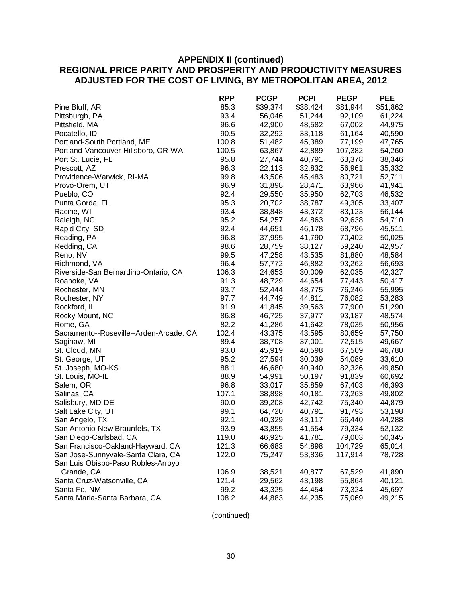|                                         | <b>RPP</b> | <b>PCGP</b> | <b>PCPI</b> | <b>PEGP</b> | <b>PEE</b> |
|-----------------------------------------|------------|-------------|-------------|-------------|------------|
| Pine Bluff, AR                          | 85.3       | \$39,374    | \$38,424    | \$81,944    | \$51,862   |
| Pittsburgh, PA                          | 93.4       | 56,046      | 51,244      | 92,109      | 61,224     |
| Pittsfield, MA                          | 96.6       | 42,900      | 48,582      | 67,002      | 44,975     |
| Pocatello, ID                           | 90.5       | 32,292      | 33,118      | 61,164      | 40,590     |
| Portland-South Portland, ME             | 100.8      | 51,482      | 45,389      | 77,199      | 47,765     |
| Portland-Vancouver-Hillsboro, OR-WA     | 100.5      | 63,867      | 42,889      | 107,382     | 54,260     |
| Port St. Lucie, FL                      | 95.8       | 27,744      | 40,791      | 63,378      | 38,346     |
| Prescott, AZ                            | 96.3       | 22,113      | 32,832      | 56,961      | 35,332     |
| Providence-Warwick, RI-MA               | 99.8       | 43,506      | 45,483      | 80,721      | 52,711     |
| Provo-Orem, UT                          | 96.9       | 31,898      | 28,471      | 63,966      | 41,941     |
| Pueblo, CO                              | 92.4       | 29,550      | 35,950      | 62,703      | 46,532     |
| Punta Gorda, FL                         | 95.3       | 20,702      | 38,787      | 49,305      | 33,407     |
| Racine, WI                              | 93.4       | 38,848      | 43,372      | 83,123      | 56,144     |
| Raleigh, NC                             | 95.2       | 54,257      | 44,863      | 92,638      | 54,710     |
| Rapid City, SD                          | 92.4       | 44,651      | 46,178      | 68,796      | 45,511     |
| Reading, PA                             | 96.8       | 37,995      | 41,790      | 70,402      | 50,025     |
| Redding, CA                             | 98.6       | 28,759      | 38,127      | 59,240      | 42,957     |
| Reno, NV                                | 99.5       | 47,258      | 43,535      | 81,880      | 48,584     |
| Richmond, VA                            | 96.4       | 57,772      | 46,882      | 93,262      | 56,693     |
| Riverside-San Bernardino-Ontario, CA    | 106.3      | 24,653      | 30,009      | 62,035      | 42,327     |
| Roanoke, VA                             | 91.3       | 48,729      | 44,654      | 77,443      | 50,417     |
| Rochester, MN                           | 93.7       | 52,444      | 48,775      | 76,246      | 55,995     |
| Rochester, NY                           | 97.7       | 44,749      | 44,811      | 76,082      | 53,283     |
| Rockford, IL                            | 91.9       | 41,845      | 39,563      | 77,900      | 51,290     |
| Rocky Mount, NC                         | 86.8       | 46,725      | 37,977      | 93,187      | 48,574     |
| Rome, GA                                | 82.2       | 41,286      | 41,642      | 78,035      | 50,956     |
| Sacramento--Roseville--Arden-Arcade, CA | 102.4      | 43,375      | 43,595      | 80,659      | 57,750     |
| Saginaw, MI                             | 89.4       | 38,708      | 37,001      | 72,515      | 49,667     |
| St. Cloud, MN                           | 93.0       | 45,919      | 40,598      | 67,509      | 46,780     |
| St. George, UT                          | 95.2       | 27,594      | 30,039      | 54,089      | 33,610     |
| St. Joseph, MO-KS                       | 88.1       | 46,680      | 40,940      | 82,326      | 49,850     |
| St. Louis, MO-IL                        | 88.9       | 54,991      | 50,197      | 91,839      | 60,692     |
| Salem, OR                               | 96.8       | 33,017      | 35,859      | 67,403      | 46,393     |
| Salinas, CA                             | 107.1      | 38,898      | 40,181      | 73,263      | 49,802     |
| Salisbury, MD-DE                        | 90.0       | 39,208      | 42,742      | 75,340      | 44,879     |
| Salt Lake City, UT                      | 99.1       | 64,720      | 40,791      | 91,793      | 53,198     |
| San Angelo, TX                          | 92.1       | 40,329      | 43,117      | 66,440      | 44,288     |
| San Antonio-New Braunfels, TX           | 93.9       | 43,855      | 41,554      | 79,334      | 52,132     |
| San Diego-Carlsbad, CA                  | 119.0      | 46,925      | 41,781      | 79,003      | 50,345     |
| San Francisco-Oakland-Hayward, CA       | 121.3      | 66,683      | 54,898      | 104,729     | 65,014     |
| San Jose-Sunnyvale-Santa Clara, CA      | 122.0      | 75,247      | 53,836      | 117,914     | 78,728     |
| San Luis Obispo-Paso Robles-Arroyo      |            |             |             |             |            |
| Grande, CA                              | 106.9      | 38,521      | 40,877      | 67,529      | 41,890     |
| Santa Cruz-Watsonville, CA              | 121.4      | 29,562      | 43,198      | 55,864      | 40,121     |
| Santa Fe, NM                            | 99.2       | 43,325      | 44,454      | 73,324      | 45,697     |
| Santa Maria-Santa Barbara, CA           | 108.2      | 44,883      | 44,235      | 75,069      | 49,215     |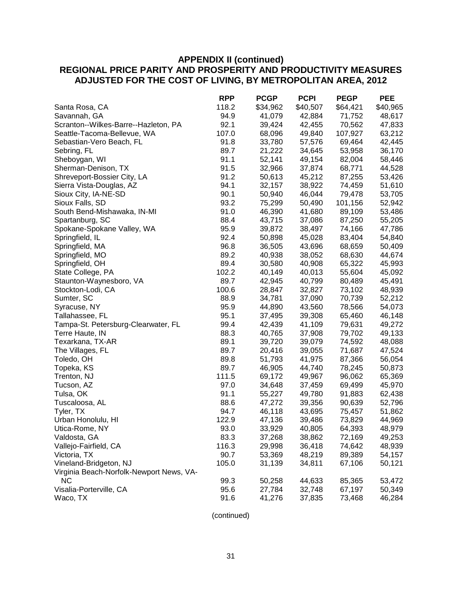|                                          | <b>RPP</b> | <b>PCGP</b> | <b>PCPI</b> | <b>PEGP</b> | <b>PEE</b> |
|------------------------------------------|------------|-------------|-------------|-------------|------------|
| Santa Rosa, CA                           | 118.2      | \$34,962    | \$40,507    | \$64,421    | \$40,965   |
| Savannah, GA                             | 94.9       | 41,079      | 42,884      | 71,752      | 48,617     |
| Scranton--Wilkes-Barre--Hazleton, PA     | 92.1       | 39,424      | 42,455      | 70,562      | 47,833     |
| Seattle-Tacoma-Bellevue, WA              | 107.0      | 68,096      | 49,840      | 107,927     | 63,212     |
| Sebastian-Vero Beach, FL                 | 91.8       | 33,780      | 57,576      | 69,464      | 42,445     |
| Sebring, FL                              | 89.7       | 21,222      | 34,645      | 53,958      | 36,170     |
| Sheboygan, WI                            | 91.1       | 52,141      | 49,154      | 82,004      | 58,446     |
| Sherman-Denison, TX                      | 91.5       | 32,966      | 37,874      | 68,771      | 44,528     |
| Shreveport-Bossier City, LA              | 91.2       | 50,613      | 45,212      | 87,255      | 53,426     |
| Sierra Vista-Douglas, AZ                 | 94.1       | 32,157      | 38,922      | 74,459      | 51,610     |
| Sioux City, IA-NE-SD                     | 90.1       | 50,940      | 46,044      | 79,478      | 53,705     |
| Sioux Falls, SD                          | 93.2       | 75,299      | 50,490      | 101,156     | 52,942     |
| South Bend-Mishawaka, IN-MI              | 91.0       | 46,390      | 41,680      | 89,109      | 53,486     |
| Spartanburg, SC                          | 88.4       | 43,715      | 37,086      | 87,250      | 55,205     |
| Spokane-Spokane Valley, WA               | 95.9       | 39,872      | 38,497      | 74,166      | 47,786     |
| Springfield, IL                          | 92.4       | 50,898      | 45,028      | 83,404      | 54,840     |
| Springfield, MA                          | 96.8       | 36,505      | 43,696      | 68,659      | 50,409     |
| Springfield, MO                          | 89.2       | 40,938      | 38,052      | 68,630      | 44,674     |
| Springfield, OH                          | 89.4       | 30,580      | 40,908      | 65,322      | 45,993     |
| State College, PA                        | 102.2      | 40,149      | 40,013      | 55,604      | 45,092     |
| Staunton-Waynesboro, VA                  | 89.7       | 42,945      | 40,799      | 80,489      | 45,491     |
| Stockton-Lodi, CA                        | 100.6      | 28,847      | 32,827      | 73,102      | 48,939     |
| Sumter, SC                               | 88.9       | 34,781      | 37,090      | 70,739      | 52,212     |
| Syracuse, NY                             | 95.9       | 44,890      | 43,560      | 78,566      | 54,073     |
| Tallahassee, FL                          | 95.1       | 37,495      | 39,308      | 65,460      | 46,148     |
| Tampa-St. Petersburg-Clearwater, FL      | 99.4       | 42,439      | 41,109      | 79,631      | 49,272     |
| Terre Haute, IN                          | 88.3       | 40,765      | 37,908      | 79,702      | 49,133     |
| Texarkana, TX-AR                         | 89.1       | 39,720      | 39,079      | 74,592      | 48,088     |
| The Villages, FL                         | 89.7       | 20,416      | 39,055      | 71,687      | 47,524     |
| Toledo, OH                               | 89.8       | 51,793      | 41,975      | 87,366      | 56,054     |
| Topeka, KS                               | 89.7       | 46,905      | 44,740      | 78,245      | 50,873     |
| Trenton, NJ                              | 111.5      | 69,172      | 49,967      | 96,062      | 65,369     |
| Tucson, AZ                               | 97.0       | 34,648      | 37,459      | 69,499      | 45,970     |
| Tulsa, OK                                | 91.1       | 55,227      | 49,780      | 91,883      | 62,438     |
| Tuscaloosa, AL                           | 88.6       | 47,272      | 39,356      | 90,639      | 52,796     |
| Tyler, TX                                | 94.7       | 46,118      | 43,695      | 75,457      | 51,862     |
| Urban Honolulu, HI                       | 122.9      | 47,136      | 39,486      | 73,829      | 44,969     |
| Utica-Rome, NY                           | 93.0       | 33,929      | 40,805      | 64,393      | 48,979     |
| Valdosta, GA                             | 83.3       | 37,268      | 38,862      | 72,169      | 49,253     |
| Vallejo-Fairfield, CA                    | 116.3      | 29,998      | 36,418      | 74,642      | 48,939     |
| Victoria, TX                             | 90.7       | 53,369      | 48,219      | 89,389      | 54,157     |
| Vineland-Bridgeton, NJ                   | 105.0      | 31,139      | 34,811      | 67,106      | 50,121     |
| Virginia Beach-Norfolk-Newport News, VA- |            |             |             |             |            |
| <b>NC</b>                                | 99.3       | 50,258      | 44,633      | 85,365      | 53,472     |
| Visalia-Porterville, CA                  | 95.6       | 27,784      | 32,748      | 67,197      | 50,349     |
| Waco, TX                                 | 91.6       | 41,276      | 37,835      | 73,468      | 46,284     |
|                                          |            |             |             |             |            |